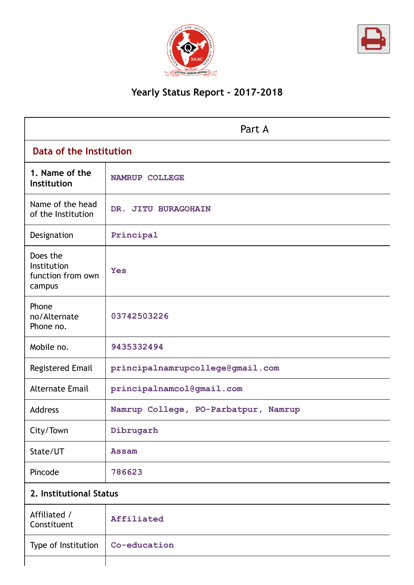



# **Yearly Status Report - 2017-2018**

| Part A                                                 |                                      |  |  |
|--------------------------------------------------------|--------------------------------------|--|--|
|                                                        | Data of the Institution              |  |  |
| 1. Name of the<br>Institution                          | <b>NAMRUP COLLEGE</b>                |  |  |
| Name of the head<br>of the Institution                 | DR. JITU BURAGOHAIN                  |  |  |
| Designation                                            | Principal                            |  |  |
| Does the<br>Institution<br>function from own<br>campus | <b>Yes</b>                           |  |  |
| Phone<br>no/Alternate<br>Phone no.                     | 03742503226                          |  |  |
| Mobile no.                                             | 9435332494                           |  |  |
| <b>Registered Email</b>                                | principalnamrupcollege@gmail.com     |  |  |
| <b>Alternate Email</b>                                 | principalnamcol@gmail.com            |  |  |
| <b>Address</b>                                         | Namrup College, PO-Parbatpur, Namrup |  |  |
| City/Town                                              | Dibrugarh                            |  |  |
| State/UT                                               | <b>Assam</b>                         |  |  |
| Pincode                                                | 786623                               |  |  |
| 2. Institutional Status                                |                                      |  |  |
| Affiliated /<br>Constituent                            | Affiliated                           |  |  |

| Constituent                        | . |
|------------------------------------|---|
| Type of Institution   Co-education |   |
|                                    |   |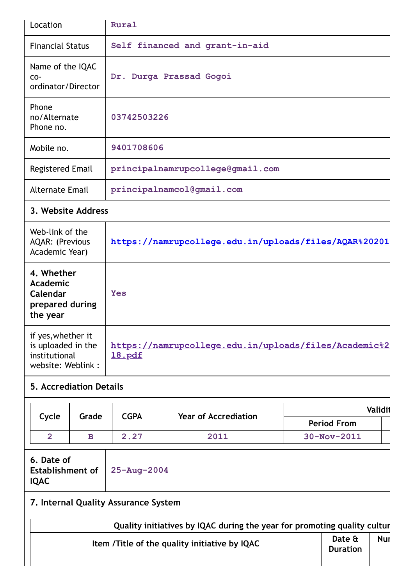| Location                                        | Rural                            |
|-------------------------------------------------|----------------------------------|
| <b>Financial Status</b>                         | Self financed and grant-in-aid   |
| Name of the IQAC<br>$CO-$<br>ordinator/Director | Dr. Durga Prassad Gogoi          |
| Phone<br>no/Alternate<br>Phone no.              | 03742503226                      |
| Mobile no.                                      | 9401708606                       |
| Registered Email                                | principalnamrupcollege@gmail.com |
| <b>Alternate Email</b>                          | principalnamcol@gmail.com        |

# **3. Website Address**

| Web-link of the<br><b>AQAR: (Previous</b><br>Academic Year)                    | https://namrupcollege.edu.in/uploads/files/AQAR%20201                  |
|--------------------------------------------------------------------------------|------------------------------------------------------------------------|
| 4. Whether<br>Academic<br>Calendar<br>prepared during<br>the year              | Yes                                                                    |
| if yes, whether it<br>is uploaded in the<br>institutional<br>website: Weblink: | https://namrupcollege.edu.in/uploads/files/Academic%2<br><u>18.pdf</u> |

# **5. Accrediation Details**

|       |       |      |                             | <b>Validit</b>     |
|-------|-------|------|-----------------------------|--------------------|
| Cycle | Grade | CGPA | <b>Year of Accrediation</b> | <b>Period From</b> |
|       |       | 2.27 | 2011                        | $30 - Nov - 2011$  |

| 6. Date of                   |  |
|------------------------------|--|
| Establishment of 25-Aug-2004 |  |
| <b>IQAC</b>                  |  |

# **7. Internal Quality Assurance System**

| Quality initiatives by IQAC during the year for promoting quality cultur |                           |            |
|--------------------------------------------------------------------------|---------------------------|------------|
| Item /Title of the quality initiative by IQAC                            | Date &<br><b>Duration</b> | <b>Nur</b> |
|                                                                          |                           |            |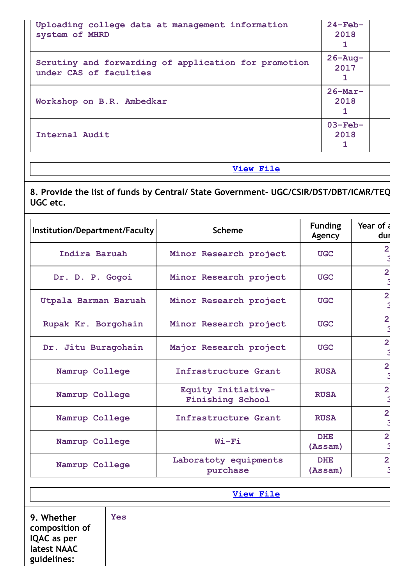| Uploading college data at management information<br>system of MHRD             | $24$ -Feb-<br>2018  |  |
|--------------------------------------------------------------------------------|---------------------|--|
| Scrutiny and forwarding of application for promotion<br>under CAS of faculties | $26 - Aug-$<br>2017 |  |
| Workshop on B.R. Ambedkar                                                      | $26$ -Mar-<br>2018  |  |
| Internal Audit                                                                 | $03-Feb-$<br>2018   |  |

**View [File](https://assessmentonline.naac.gov.in/public/Postacc/Quality_Initiatives/9164_Quality_Initiatives.xlsx)**

**8. Provide the list of funds by Central/ State Government- UGC/CSIR/DST/DBT/ICMR/TEQ UGC etc.**

| Institution/Department/Faculty | <b>Scheme</b>                                 | <b>Funding</b><br>Agency | Year of $\epsilon$<br>dur |
|--------------------------------|-----------------------------------------------|--------------------------|---------------------------|
| Indira Baruah                  | Minor Research project                        | <b>UGC</b>               | $\overline{2}$            |
| Dr. D. P. Gogoi                | Minor Research project                        | <b>UGC</b>               | $\overline{2}$            |
| Utpala Barman Baruah           | Minor Research project                        | <b>UGC</b>               | $\overline{2}$            |
| Rupak Kr. Borgohain            | Minor Research project                        | <b>UGC</b>               | $\overline{2}$            |
| Dr. Jitu Buragohain            | Major Research project                        | <b>UGC</b>               | $\overline{2}$            |
| Namrup College                 | Infrastructure Grant                          | <b>RUSA</b>              | $\overline{2}$            |
| Namrup College                 | Equity Initiative-<br><b>Finishing School</b> | <b>RUSA</b>              | $\overline{2}$            |
| Namrup College                 | Infrastructure Grant                          | <b>RUSA</b>              | $\overline{2}$            |
| Namrup College                 | $Wi-Fi$                                       | <b>DHE</b><br>(Assam)    | $\overline{2}$            |
| Namrup College                 | Laboratoty equipments<br>purchase             | <b>DHE</b><br>(Assam)    | $\overline{2}$            |

**9. Whether composition of IQAC as per latest NAAC guidelines:**

**Yes**

**View [File](https://assessmentonline.naac.gov.in/public/Postacc/Special_Status/9164_Special_Status.xlsx)**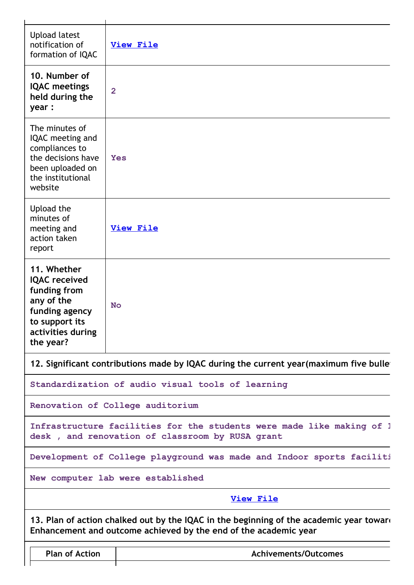| <b>Upload latest</b><br>notification of<br>formation of IQAC                                                                            | <b>View File</b>                                                                                                                                            |
|-----------------------------------------------------------------------------------------------------------------------------------------|-------------------------------------------------------------------------------------------------------------------------------------------------------------|
| 10. Number of<br><b>IQAC</b> meetings<br>held during the<br>year :                                                                      | $\overline{2}$                                                                                                                                              |
| The minutes of<br>IQAC meeting and<br>compliances to<br>the decisions have<br>been uploaded on<br>the institutional<br>website          | <b>Yes</b>                                                                                                                                                  |
| Upload the<br>minutes of<br>meeting and<br>action taken<br>report                                                                       | <b>View File</b>                                                                                                                                            |
| 11. Whether<br><b>IQAC</b> received<br>funding from<br>any of the<br>funding agency<br>to support its<br>activities during<br>the year? | <b>No</b>                                                                                                                                                   |
|                                                                                                                                         | 12. Significant contributions made by IQAC during the current year (maximum five bulle                                                                      |
|                                                                                                                                         | Standardization of audio visual tools of learning                                                                                                           |
|                                                                                                                                         | Renovation of College auditorium                                                                                                                            |
|                                                                                                                                         | Infrastructure facilities for the students were made like making of 1<br>desk, and renovation of classroom by RUSA grant                                    |
|                                                                                                                                         | Development of College playground was made and Indoor sports faciliti                                                                                       |
|                                                                                                                                         | New computer lab were established                                                                                                                           |
|                                                                                                                                         | <b>View File</b>                                                                                                                                            |
|                                                                                                                                         | 13. Plan of action chalked out by the IQAC in the beginning of the academic year toward<br>Enhancement and outcome achieved by the end of the academic year |
| <b>Plan of Action</b>                                                                                                                   | <b>Achivements/Outcomes</b>                                                                                                                                 |
|                                                                                                                                         |                                                                                                                                                             |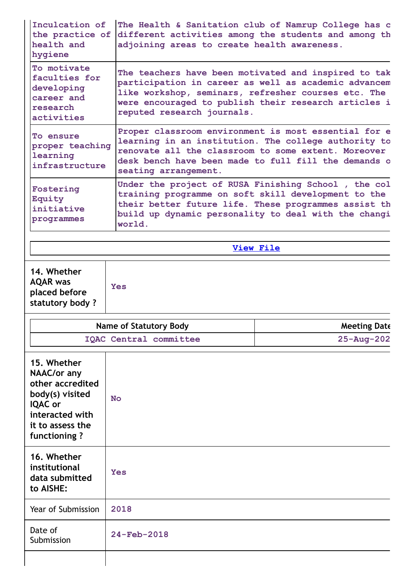| Inculcation of<br>the practice of<br>health and<br>hygiene                                                                                        | The Health & Sanitation club of Namrup College has c<br>different activities among the students and among th<br>adjoining areas to create health awareness.                                                                                               |                     |  |
|---------------------------------------------------------------------------------------------------------------------------------------------------|-----------------------------------------------------------------------------------------------------------------------------------------------------------------------------------------------------------------------------------------------------------|---------------------|--|
| To motivate<br>faculties for<br>developing<br>career and<br>research<br>activities                                                                | The teachers have been motivated and inspired to tak<br>participation in career as well as academic advancem<br>like workshop, seminars, refresher courses etc. The<br>were encouraged to publish their research articles i<br>reputed research journals. |                     |  |
| <b>To ensure</b><br>proper teaching<br>learning<br>infrastructure                                                                                 | Proper classroom environment is most essential for e<br>learning in an institution. The college authority to<br>renovate all the classroom to some extent. Moreover<br>desk bench have been made to full fill the demands o<br>seating arrangement.       |                     |  |
| Fostering<br>Equity<br>initiative<br>programmes                                                                                                   | Under the project of RUSA Finishing School, the col<br>training programme on soft skill development to the<br>their better future life. These programmes assist th<br>build up dynamic personality to deal with the changi<br>world.                      |                     |  |
|                                                                                                                                                   |                                                                                                                                                                                                                                                           | <b>View File</b>    |  |
| 14. Whether<br><b>AQAR</b> was<br>placed before<br>statutory body?                                                                                | <b>Yes</b>                                                                                                                                                                                                                                                |                     |  |
|                                                                                                                                                   | <b>Name of Statutory Body</b>                                                                                                                                                                                                                             | <b>Meeting Date</b> |  |
|                                                                                                                                                   | <b>IQAC Central committee</b>                                                                                                                                                                                                                             | $25 - Aug - 202$    |  |
| 15. Whether<br><b>NAAC/or any</b><br>other accredited<br>body(s) visited<br><b>IQAC</b> or<br>interacted with<br>it to assess the<br>functioning? | <b>No</b>                                                                                                                                                                                                                                                 |                     |  |
| 16. Whether<br>institutional                                                                                                                      |                                                                                                                                                                                                                                                           |                     |  |
| data submitted<br>to AISHE:                                                                                                                       | <b>Yes</b>                                                                                                                                                                                                                                                |                     |  |
| Year of Submission                                                                                                                                | 2018                                                                                                                                                                                                                                                      |                     |  |
| Date of<br>Submission                                                                                                                             | 24-Feb-2018                                                                                                                                                                                                                                               |                     |  |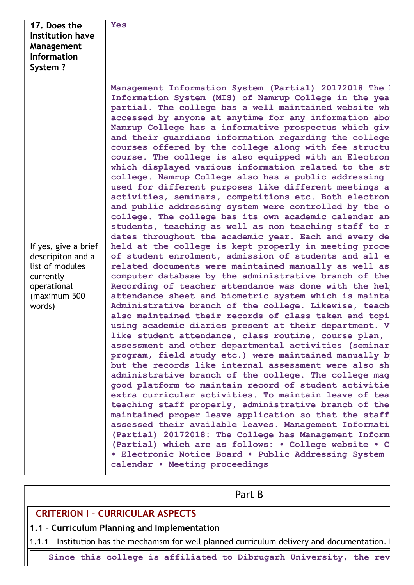| 17. Does the<br><b>Institution have</b><br><b>Management</b><br><b>Information</b><br>System?                      | Yes                                                                                                                                                                                                                                                                                                                                                                                                                                                                                                                                                                                                                                                                                                                                                                                                                                                                                                                                                                                                                                                                                                                                                                                                                                                                                                                                                                                                                                                                                                                                                                                                                                                                                                                                                                                                                                                                                                                                                                                                                                                                                                                                                                                                                                                                                   |
|--------------------------------------------------------------------------------------------------------------------|---------------------------------------------------------------------------------------------------------------------------------------------------------------------------------------------------------------------------------------------------------------------------------------------------------------------------------------------------------------------------------------------------------------------------------------------------------------------------------------------------------------------------------------------------------------------------------------------------------------------------------------------------------------------------------------------------------------------------------------------------------------------------------------------------------------------------------------------------------------------------------------------------------------------------------------------------------------------------------------------------------------------------------------------------------------------------------------------------------------------------------------------------------------------------------------------------------------------------------------------------------------------------------------------------------------------------------------------------------------------------------------------------------------------------------------------------------------------------------------------------------------------------------------------------------------------------------------------------------------------------------------------------------------------------------------------------------------------------------------------------------------------------------------------------------------------------------------------------------------------------------------------------------------------------------------------------------------------------------------------------------------------------------------------------------------------------------------------------------------------------------------------------------------------------------------------------------------------------------------------------------------------------------------|
| If yes, give a brief<br>descripiton and a<br>list of modules<br>currently<br>operational<br>(maximum 500<br>words) | Management Information System (Partial) 20172018 The 1<br>Information System (MIS) of Namrup College in the yea:<br>partial. The college has a well maintained website wh<br>accessed by anyone at anytime for any information abo<br>Namrup College has a informative prospectus which giv<br>and their guardians information regarding the college<br>courses offered by the college along with fee structu<br>course. The college is also equipped with an Electron<br>which displayed various information related to the st<br>college. Namrup College also has a public addressing<br>used for different purposes like different meetings a<br>activities, seminars, competitions etc. Both electron<br>and public addressing system were controlled by the o<br>college. The college has its own academic calendar an<br>students, teaching as well as non teaching staff to re<br>dates throughout the academic year. Each and every de<br>held at the college is kept properly in meeting proce<br>of student enrolment, admission of students and all e<br>related documents were maintained manually as well as<br>computer database by the administrative branch of the<br>Recording of teacher attendance was done with the help<br>attendance sheet and biometric system which is mainta<br>Administrative branch of the college. Likewise, teach<br>also maintained their records of class taken and topi<br>using academic diaries present at their department. V<br>like student attendance, class routine, course plan,<br>assessment and other departmental activities (seminar<br>program, field study etc.) were maintained manually b<br>but the records like internal assessment were also sh<br>administrative branch of the college. The college mag<br>good platform to maintain record of student activitie<br>extra curricular activities. To maintain leave of tea<br>teaching staff properly, administrative branch of the<br>maintained proper leave application so that the staff<br>assessed their available leaves. Management Informati<br>(Partial) 20172018: The College has Management Inform<br>(Partial) which are as follows: . College website . C<br>• Electronic Notice Board • Public Addressing System<br>calendar . Meeting proceedings |

**CRITERION I – CURRICULAR ASPECTS**

**1.1 – Curriculum Planning and Implementation**

1.1.1 - Institution has the mechanism for well planned curriculum delivery and documentation. I

**Since this college is affiliated to Dibrugarh University, the rev**

Part B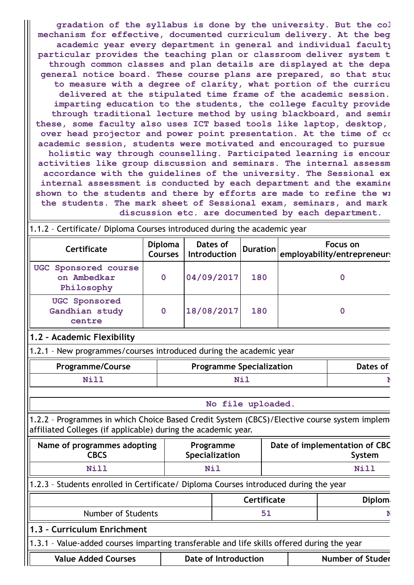**gradation of the syllabus is done by the university. But the col mechanism for effective, documented curriculum delivery. At the beg academic year every department in general and individual faculty particular provides the teaching plan or classroom deliver system t through common classes and plan details are displayed at the depa general notice board. These course plans are prepared, so that stud to measure with a degree of clarity, what portion of the curricu delivered at the stipulated time frame of the academic session. imparting education to the students, the college faculty provide through traditional lecture method by using blackboard, and semin these, some faculty also uses ICT based tools like laptop, desktop, over head projector and power point presentation. At the time of co academic session, students were motivated and encouraged to pursue holistic way through counselling. Participated learning is encour activities like group discussion and seminars. The internal assessm accordance with the guidelines of the university. The Sessional ex internal assessment is conducted by each department and the examine shown to the students and there by efforts are made to refine the wr the students. The mark sheet of Sessional exam, seminars, and mark discussion etc. are documented by each department.**

| 1.1.2 - Certificate/ Diploma Courses introduced during the academic year                                                                                     |                                  |                             |                                         |                                 |  |                                         |
|--------------------------------------------------------------------------------------------------------------------------------------------------------------|----------------------------------|-----------------------------|-----------------------------------------|---------------------------------|--|-----------------------------------------|
| Certificate                                                                                                                                                  | <b>Diploma</b><br><b>Courses</b> | Dates of<br>Introduction    |                                         | <b>Duration</b>                 |  | Focus on<br>employability/entrepreneur: |
| UGC Sponsored course<br>on Ambedkar<br>Philosophy                                                                                                            | $\overline{0}$                   | 04/09/2017                  |                                         | 180                             |  | $\overline{0}$                          |
| <b>UGC</b> Sponsored<br>Gandhian study<br>centre                                                                                                             | $\mathbf 0$                      | 18/08/2017                  |                                         | 180                             |  | $\mathbf 0$                             |
| 1.2 - Academic Flexibility                                                                                                                                   |                                  |                             |                                         |                                 |  |                                         |
| 1.2.1 - New programmes/courses introduced during the academic year                                                                                           |                                  |                             |                                         |                                 |  |                                         |
| <b>Programme/Course</b>                                                                                                                                      |                                  |                             |                                         | <b>Programme Specialization</b> |  | Dates of                                |
| Nill                                                                                                                                                         |                                  |                             |                                         | Nil                             |  |                                         |
|                                                                                                                                                              |                                  |                             |                                         | No file uploaded.               |  |                                         |
| 1.2.2 - Programmes in which Choice Based Credit System (CBCS)/Elective course system implem<br>affiliated Colleges (if applicable) during the academic year. |                                  |                             |                                         |                                 |  |                                         |
| Name of programmes adopting<br><b>CBCS</b>                                                                                                                   |                                  | Programme<br>Specialization | Date of implementation of CBC<br>System |                                 |  |                                         |
| Nill                                                                                                                                                         |                                  | <b>Nil</b>                  |                                         |                                 |  | Nill                                    |
| 1.2.3 - Students enrolled in Certificate/ Diploma Courses introduced during the year                                                                         |                                  |                             |                                         |                                 |  |                                         |
|                                                                                                                                                              |                                  |                             |                                         | Certificate                     |  | <b>Diplom</b>                           |
| Number of Students                                                                                                                                           |                                  |                             |                                         | 51                              |  | r                                       |
| 1.3 - Curriculum Enrichment                                                                                                                                  |                                  |                             |                                         |                                 |  |                                         |
| 1.3.1 - Value-added courses imparting transferable and life skills offered during the year                                                                   |                                  |                             |                                         |                                 |  |                                         |
| <b>Value Added Courses</b>                                                                                                                                   |                                  | <b>Date of Introduction</b> |                                         |                                 |  | <b>Number of Studer</b>                 |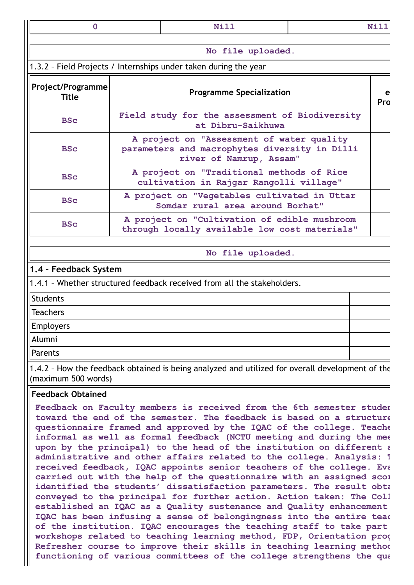| $\mathbf 0$                       | Nill                                                                                                                                                                                                                                                                                                                                                                                                                                         |  | Nill |  |  |  |  |
|-----------------------------------|----------------------------------------------------------------------------------------------------------------------------------------------------------------------------------------------------------------------------------------------------------------------------------------------------------------------------------------------------------------------------------------------------------------------------------------------|--|------|--|--|--|--|
|                                   | No file uploaded.                                                                                                                                                                                                                                                                                                                                                                                                                            |  |      |  |  |  |  |
|                                   | 1.3.2 - Field Projects / Internships under taken during the year                                                                                                                                                                                                                                                                                                                                                                             |  |      |  |  |  |  |
|                                   |                                                                                                                                                                                                                                                                                                                                                                                                                                              |  |      |  |  |  |  |
| Project/Programme<br><b>Title</b> | <b>Programme Specialization</b>                                                                                                                                                                                                                                                                                                                                                                                                              |  |      |  |  |  |  |
| <b>BSc</b>                        | Field study for the assessment of Biodiversity<br>at Dibru-Saikhuwa                                                                                                                                                                                                                                                                                                                                                                          |  |      |  |  |  |  |
| <b>BSc</b>                        | A project on "Assessment of water quality<br>parameters and macrophytes diversity in Dilli<br>river of Namrup, Assam"                                                                                                                                                                                                                                                                                                                        |  |      |  |  |  |  |
| <b>BSc</b>                        | A project on "Traditional methods of Rice<br>cultivation in Rajgar Rangolli village"                                                                                                                                                                                                                                                                                                                                                         |  |      |  |  |  |  |
| <b>BSc</b>                        | A project on "Vegetables cultivated in Uttar<br>Somdar rural area around Borhat"                                                                                                                                                                                                                                                                                                                                                             |  |      |  |  |  |  |
| <b>BSc</b>                        | A project on "Cultivation of edible mushroom<br>through locally available low cost materials"                                                                                                                                                                                                                                                                                                                                                |  |      |  |  |  |  |
|                                   | No file uploaded.                                                                                                                                                                                                                                                                                                                                                                                                                            |  |      |  |  |  |  |
| 1.4 - Feedback System             |                                                                                                                                                                                                                                                                                                                                                                                                                                              |  |      |  |  |  |  |
|                                   | 1.4.1 - Whether structured feedback received from all the stakeholders.                                                                                                                                                                                                                                                                                                                                                                      |  |      |  |  |  |  |
| <b>Students</b>                   |                                                                                                                                                                                                                                                                                                                                                                                                                                              |  |      |  |  |  |  |
| Teachers                          |                                                                                                                                                                                                                                                                                                                                                                                                                                              |  |      |  |  |  |  |
| Employers                         |                                                                                                                                                                                                                                                                                                                                                                                                                                              |  |      |  |  |  |  |
| Alumni                            |                                                                                                                                                                                                                                                                                                                                                                                                                                              |  |      |  |  |  |  |
| Parents                           |                                                                                                                                                                                                                                                                                                                                                                                                                                              |  |      |  |  |  |  |
| (maximum 500 words)               | 1.4.2 - How the feedback obtained is being analyzed and utilized for overall development of the                                                                                                                                                                                                                                                                                                                                              |  |      |  |  |  |  |
| <b>Feedback Obtained</b>          |                                                                                                                                                                                                                                                                                                                                                                                                                                              |  |      |  |  |  |  |
|                                   | Feedback on Faculty members is received from the 6th semester studer<br>toward the end of the semester. The feedback is based on a structure<br>questionnaire framed and approved by the IQAC of the college. Teache<br>informal as well as formal feedback (NCTU meeting and during the mee<br>upon by the principal) to the head of the institution on different a<br>administrative and other affairs related to the college. Analysis: ' |  |      |  |  |  |  |

**received feedback, IQAC appoints senior teachers of the college. Eva carried out with the help of the questionnaire with an assigned scor identified the students' dissatisfaction parameters. The result obta conveyed to the principal for further action. Action taken: The Coll established an IQAC as a Quality sustenance and Quality enhancement IQAC has been infusing a sense of belongingness into the entire teac of the institution. IQAC encourages the teaching staff to take part workshops related to teaching learning method, FDP, Orientation prog Refresher course to improve their skills in teaching learning method functioning of various committees of the college strengthens the qua**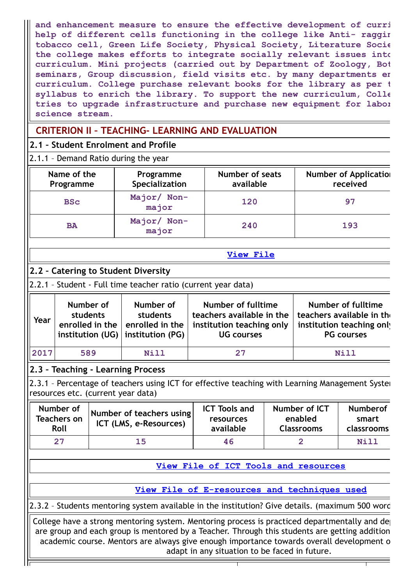**and enhancement measure to ensure the effective development of curri help of different cells functioning in the college like Anti- raggin tobacco cell, Green Life Society, Physical Society, Literature Socie the college makes efforts to integrate socially relevant issues into curriculum. Mini projects (carried out by Department of Zoology, Bot seminars, Group discussion, field visits etc. by many departments en curriculum. College purchase relevant books for the library as per t syllabus to enrich the library. To support the new curriculum, Colle tries to upgrade infrastructure and purchase new equipment for labor science stream.**

# **CRITERION II – TEACHING- LEARNING AND EVALUATION**

### **2.1 – Student Enrolment and Profile**

2.1.1 – Demand Ratio during the year

| Name of the<br>Programme | Programme<br>Specialization | <b>Number of seats</b><br>available | <b>Number of Application</b><br>received |
|--------------------------|-----------------------------|-------------------------------------|------------------------------------------|
| <b>BSC</b>               | Major/ Non-<br>major        | 120                                 | 97                                       |
| <b>BA</b>                | Major/ Non-<br>major        | 240                                 | 193                                      |

# **2.2 – Catering to Student Diversity**

2.2.1 – Student - Full time teacher ratio (current year data)

| Year | Number of<br>students<br>$\mid$ institution (UG) $\mid$ institution (PG) | Number of<br>students<br>enrolled in the $ $ enrolled in the | Number of fulltime<br>teachers available in the  <br>institution teaching only<br><b>UG courses</b> | Number of fulltime<br>teachers available in the<br>institution teaching only<br><b>PG</b> courses |
|------|--------------------------------------------------------------------------|--------------------------------------------------------------|-----------------------------------------------------------------------------------------------------|---------------------------------------------------------------------------------------------------|
| 2017 | 589                                                                      | Nill                                                         | 27                                                                                                  | <b>Nill</b>                                                                                       |

# **2.3 – Teaching - Learning Process**

2.3.1 - Percentage of teachers using ICT for effective teaching with Learning Management Syster resources etc. (current year data)

| Number of<br><b>Teachers on</b><br>Roll | Number of teachers using<br>ICT (LMS, e-Resources) | <b>ICT Tools and</b><br>resources<br>available | Number of ICT<br>enabled<br><b>Classrooms</b> | <b>Numberof</b><br>smart<br>classrooms |
|-----------------------------------------|----------------------------------------------------|------------------------------------------------|-----------------------------------------------|----------------------------------------|
| 27                                      | 15                                                 | 46                                             |                                               | Nill                                   |

# **View File of ICT Tools and [resources](https://assessmentonline.naac.gov.in/public/Postacc/ict_tools/9164_ict_tools_1639562330.xlsx)**

**[View](https://assessmentonline.naac.gov.in/public/Postacc/Demand_ratio/9164_Demand_ratio_1639562420.xlsx) File**

**View File of [E-resources](https://assessmentonline.naac.gov.in/public/Postacc/e_resource/9164_e_resource_1639562341.xlsx) and techniques used**

2.3.2 – Students mentoring system available in the institution? Give details. (maximum 500 word

College have a strong mentoring system. Mentoring process is practiced departmentally and de are group and each group is mentored by a Teacher. Through this students are getting addition academic course. Mentors are always give enough importance towards overall development o adapt in any situation to be faced in future.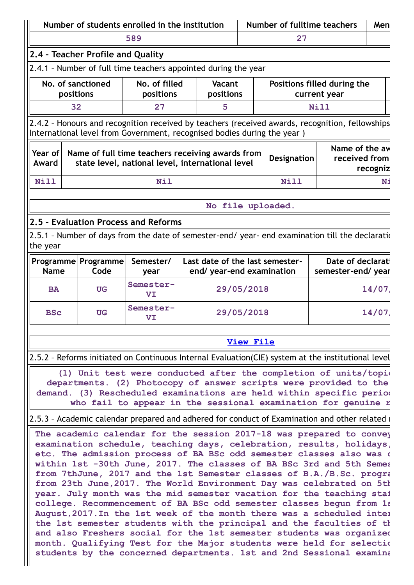|                                |                                                                      | Number of students enrolled in the institution |                                                                                                                                                                                                                                                                                                                                                                                                                                                                                                                                                                                                                                                                         |                  |    |                                                                                                                                                                                                                                                                                                                                                                                                   | Men       |
|--------------------------------|----------------------------------------------------------------------|------------------------------------------------|-------------------------------------------------------------------------------------------------------------------------------------------------------------------------------------------------------------------------------------------------------------------------------------------------------------------------------------------------------------------------------------------------------------------------------------------------------------------------------------------------------------------------------------------------------------------------------------------------------------------------------------------------------------------------|------------------|----|---------------------------------------------------------------------------------------------------------------------------------------------------------------------------------------------------------------------------------------------------------------------------------------------------------------------------------------------------------------------------------------------------|-----------|
|                                |                                                                      | 589                                            |                                                                                                                                                                                                                                                                                                                                                                                                                                                                                                                                                                                                                                                                         |                  | 27 | Number of fulltime teachers<br>Positions filled during the<br>current year<br>Nill<br>2.4.2 - Honours and recognition received by teachers (received awards, recognition, fellowships<br>Designation<br>Nill<br>No file uploaded.<br>2.5.1 - Number of days from the date of semester-end/ year- end examination till the declaration                                                             |           |
|                                | 2.4 - Teacher Profile and Quality                                    |                                                |                                                                                                                                                                                                                                                                                                                                                                                                                                                                                                                                                                                                                                                                         |                  |    |                                                                                                                                                                                                                                                                                                                                                                                                   |           |
|                                |                                                                      |                                                | 2.4.1 - Number of full time teachers appointed during the year                                                                                                                                                                                                                                                                                                                                                                                                                                                                                                                                                                                                          |                  |    |                                                                                                                                                                                                                                                                                                                                                                                                   |           |
| No. of sanctioned<br>positions |                                                                      | No. of filled<br>positions                     | Vacant<br>positions                                                                                                                                                                                                                                                                                                                                                                                                                                                                                                                                                                                                                                                     |                  |    |                                                                                                                                                                                                                                                                                                                                                                                                   |           |
| 32                             |                                                                      | 27                                             | 5                                                                                                                                                                                                                                                                                                                                                                                                                                                                                                                                                                                                                                                                       |                  |    | Name of the aw<br>received from<br>Date of declarati<br>semester-end/year<br>2.5.2 - Reforms initiated on Continuous Internal Evaluation(CIE) system at the institutional level<br>(1) Unit test were conducted after the completion of units/topion<br>departments. (2) Photocopy of answer scripts were provided to the<br>demand. (3) Rescheduled examinations are held within specific period |           |
|                                |                                                                      |                                                | International level from Government, recognised bodies during the year )                                                                                                                                                                                                                                                                                                                                                                                                                                                                                                                                                                                                |                  |    |                                                                                                                                                                                                                                                                                                                                                                                                   |           |
| Year of<br>Award               |                                                                      |                                                | Name of full time teachers receiving awards from<br>state level, national level, international level                                                                                                                                                                                                                                                                                                                                                                                                                                                                                                                                                                    |                  |    |                                                                                                                                                                                                                                                                                                                                                                                                   | recogniz  |
| Nill                           |                                                                      | <b>Nil</b>                                     |                                                                                                                                                                                                                                                                                                                                                                                                                                                                                                                                                                                                                                                                         |                  |    |                                                                                                                                                                                                                                                                                                                                                                                                   | Ni        |
|                                |                                                                      |                                                |                                                                                                                                                                                                                                                                                                                                                                                                                                                                                                                                                                                                                                                                         |                  |    |                                                                                                                                                                                                                                                                                                                                                                                                   |           |
|                                |                                                                      |                                                |                                                                                                                                                                                                                                                                                                                                                                                                                                                                                                                                                                                                                                                                         |                  |    |                                                                                                                                                                                                                                                                                                                                                                                                   |           |
|                                |                                                                      | 2.5 - Evaluation Process and Reforms           |                                                                                                                                                                                                                                                                                                                                                                                                                                                                                                                                                                                                                                                                         |                  |    |                                                                                                                                                                                                                                                                                                                                                                                                   |           |
| the year                       |                                                                      |                                                |                                                                                                                                                                                                                                                                                                                                                                                                                                                                                                                                                                                                                                                                         |                  |    |                                                                                                                                                                                                                                                                                                                                                                                                   |           |
| <b>Name</b>                    | Programme   Programme<br>Code                                        | Semester/<br>year                              | Last date of the last semester-<br>end/ year-end examination                                                                                                                                                                                                                                                                                                                                                                                                                                                                                                                                                                                                            |                  |    |                                                                                                                                                                                                                                                                                                                                                                                                   |           |
| <b>BA</b>                      | <b>UG</b>                                                            | Semester-<br>VI                                |                                                                                                                                                                                                                                                                                                                                                                                                                                                                                                                                                                                                                                                                         | 29/05/2018       |    |                                                                                                                                                                                                                                                                                                                                                                                                   | $14/07$ , |
| <b>BSc</b>                     | <b>UG</b>                                                            | Semester-<br>VI                                |                                                                                                                                                                                                                                                                                                                                                                                                                                                                                                                                                                                                                                                                         | 29/05/2018       |    |                                                                                                                                                                                                                                                                                                                                                                                                   | $14/07$ , |
|                                |                                                                      |                                                |                                                                                                                                                                                                                                                                                                                                                                                                                                                                                                                                                                                                                                                                         | <b>View File</b> |    |                                                                                                                                                                                                                                                                                                                                                                                                   |           |
|                                |                                                                      |                                                |                                                                                                                                                                                                                                                                                                                                                                                                                                                                                                                                                                                                                                                                         |                  |    |                                                                                                                                                                                                                                                                                                                                                                                                   |           |
|                                |                                                                      |                                                | who fail to appear in the sessional examination for genuine r                                                                                                                                                                                                                                                                                                                                                                                                                                                                                                                                                                                                           |                  |    |                                                                                                                                                                                                                                                                                                                                                                                                   |           |
|                                |                                                                      |                                                | 2.5.3 - Academic calendar prepared and adhered for conduct of Examination and other related r                                                                                                                                                                                                                                                                                                                                                                                                                                                                                                                                                                           |                  |    |                                                                                                                                                                                                                                                                                                                                                                                                   |           |
|                                | the 1st semester students with the principal and the faculties of th |                                                | The academic calendar for the session 2017-18 was prepared to convey<br>examination schedule, teaching days, celebration, results, holidays,<br>etc. The admission process of BA BSc odd semester classes also was o<br>within 1st -30th June, 2017. The classes of BA BSc 3rd and 5th Semes<br>from 7thJune, 2017 and the 1st Semester classes of B.A./B.Sc. progra<br>from 23th June, 2017. The World Environment Day was celebrated on 5th<br>year. July month was the mid semester vacation for the teaching staf<br>college. Recommencement of BA BSc odd semester classes begun from 1s<br>August, 2017. In the 1st week of the month there was a scheduled inter |                  |    |                                                                                                                                                                                                                                                                                                                                                                                                   |           |

**students by the concerned departments. 1st and 2nd Sessional examina**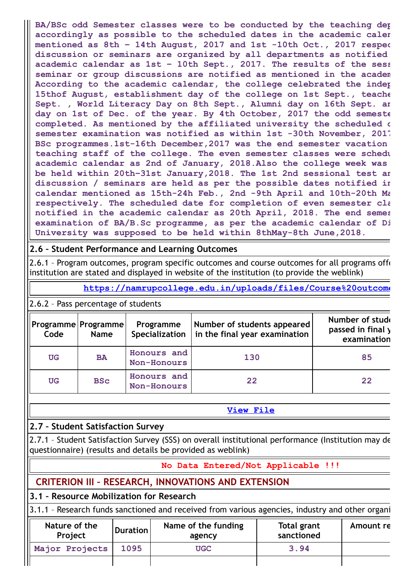**BA/BSc odd Semester classes were to be conducted by the teaching dep accordingly as possible to the scheduled dates in the academic calen mentioned as 8th – 14th August, 2017 and 1st -10th Oct., 2017 respec discussion or seminars are organized by all departments as notified academic calendar as 1st – 10th Sept., 2017. The results of the sess seminar or group discussions are notified as mentioned in the academ According to the academic calendar, the college celebrated the indep 15thof August, establishment day of the college on 1st Sept., teache Sept. , World Literacy Day on 8th Sept., Alumni day on 16th Sept. an day on 1st of Dec. of the year. By 4th October, 2017 the odd semeste completed. As mentioned by the affiliated university the scheduled d semester examination was notified as within 1st -30th November, 2017 BSc programmes.1st-16th December,2017 was the end semester vacation teaching staff of the college. The even semester classes were schedu academic calendar as 2nd of January, 2018.Also the college week was be held within 20th–31st January,2018. The 1st 2nd sessional test an discussion / seminars are held as per the possible dates notified in calendar mentioned as 15th-24h Feb., 2nd -9th April and 10th-20th Ma respectively. The scheduled date for completion of even semester cla notified in the academic calendar as 20th April, 2018. The end semes examination of BA/B.Sc programme, as per the academic calendar of Di University was supposed to be held within 8thMay-8th June,2018.**

### **2.6 – Student Performance and Learning Outcomes**

2.6.1 - Program outcomes, program specific outcomes and course outcomes for all programs offer institution are stated and displayed in website of the institution (to provide the weblink)

**[https://namrupcollege.edu.in/uploads/files/Course%20outcome](https://namrupcollege.edu.in/uploads/files/Course%20outcome.pdf)**

2.6.2 – Pass percentage of students

| Code      | Programme   Programme  <br><b>Name</b> | Programme<br>Specialization       | Number of students appeared<br>$\mathsf{I}$ in the final year examination | Number of stude<br>passed in final y<br>examination |
|-----------|----------------------------------------|-----------------------------------|---------------------------------------------------------------------------|-----------------------------------------------------|
| <b>UG</b> | <b>BA</b>                              | Honours and<br>Non-Honours        | 130                                                                       | 85                                                  |
| <b>UG</b> | <b>BSc</b>                             | Honours and<br><b>Non-Honours</b> | 22                                                                        | 22                                                  |

#### **[View](https://assessmentonline.naac.gov.in/public/Postacc/Pass_percentage/9164_Pass_percentage_1629992874.xlsx) File**

### **2.7 – Student Satisfaction Survey**

2.7.1 – Student Satisfaction Survey (SSS) on overall institutional performance (Institution may de questionnaire) (results and details be provided as weblink)

#### **No Data Entered/Not Applicable !!!**

# **CRITERION III – RESEARCH, INNOVATIONS AND EXTENSION**

### **3.1 – Resource Mobilization for Research**

3.1.1 – Research funds sanctioned and received from various agencies, industry and other organi

| Nature of the<br>Project | <b>Duration</b> | Name of the funding<br>agency | Total grant<br>sanctioned | Amount re |
|--------------------------|-----------------|-------------------------------|---------------------------|-----------|
| Major Projects           | 1095            | <b>UGC</b>                    | 3.94                      |           |
|                          |                 |                               |                           |           |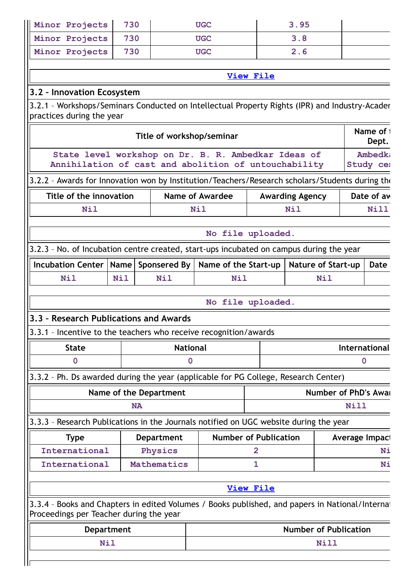| Minor Projects                                                                                                                             | 730               |                                                      | <b>UGC</b>                                                                            |                  | 3.95                   |                                                |                      |               |
|--------------------------------------------------------------------------------------------------------------------------------------------|-------------------|------------------------------------------------------|---------------------------------------------------------------------------------------|------------------|------------------------|------------------------------------------------|----------------------|---------------|
| Minor Projects                                                                                                                             | 730               |                                                      | <b>UGC</b>                                                                            |                  | 3.8                    |                                                |                      |               |
| Minor Projects                                                                                                                             | 730               |                                                      | <b>UGC</b>                                                                            |                  | 2.6                    |                                                |                      |               |
|                                                                                                                                            |                   |                                                      |                                                                                       |                  |                        |                                                |                      |               |
|                                                                                                                                            |                   |                                                      |                                                                                       | <b>View File</b> |                        |                                                |                      |               |
| 3.2 - Innovation Ecosystem                                                                                                                 |                   |                                                      |                                                                                       |                  |                        |                                                |                      |               |
| 3.2.1 - Workshops/Seminars Conducted on Intellectual Property Rights (IPR) and Industry-Acader<br>practices during the year                |                   |                                                      |                                                                                       |                  |                        |                                                |                      |               |
|                                                                                                                                            |                   | Title of workshop/seminar                            |                                                                                       |                  |                        |                                                | Name of 1            | Dept.         |
|                                                                                                                                            |                   | State level workshop on Dr. B. R. Ambedkar Ideas of  |                                                                                       |                  |                        |                                                |                      | <b>Ambedk</b> |
|                                                                                                                                            |                   | Annihilation of cast and abolition of untouchability |                                                                                       |                  |                        |                                                | Study cel            |               |
| 3.2.2 - Awards for Innovation won by Institution/Teachers/Research scholars/Students during the                                            |                   |                                                      |                                                                                       |                  |                        |                                                |                      |               |
| Title of the innovation                                                                                                                    |                   |                                                      | <b>Name of Awardee</b>                                                                |                  | <b>Awarding Agency</b> |                                                | Date of av           |               |
| <b>Nil</b>                                                                                                                                 |                   |                                                      | <b>Nil</b>                                                                            |                  | <b>Nil</b>             |                                                |                      | Nill          |
|                                                                                                                                            |                   |                                                      | No file uploaded.                                                                     |                  |                        |                                                |                      |               |
| 3.2.3 - No. of Incubation centre created, start-ups incubated on campus during the year                                                    |                   |                                                      |                                                                                       |                  |                        |                                                |                      |               |
| Incubation Center                                                                                                                          | Name              | Sponsered By                                         | Name of the Start-up                                                                  |                  |                        | <b>Nature of Start-up</b>                      |                      | <b>Date</b>   |
| <b>Nil</b>                                                                                                                                 | <b>Nil</b>        | <b>Nil</b>                                           | Nil                                                                                   |                  |                        | <b>Nil</b>                                     |                      |               |
|                                                                                                                                            |                   |                                                      |                                                                                       |                  |                        |                                                |                      |               |
|                                                                                                                                            |                   |                                                      | No file uploaded.                                                                     |                  |                        |                                                |                      |               |
| 3.3 - Research Publications and Awards                                                                                                     |                   |                                                      |                                                                                       |                  |                        |                                                |                      |               |
| 3.3.1 - Incentive to the teachers who receive recognition/awards                                                                           |                   |                                                      |                                                                                       |                  |                        |                                                |                      |               |
| <b>State</b>                                                                                                                               |                   | <b>National</b>                                      |                                                                                       |                  |                        |                                                | <b>International</b> |               |
| $\bf{0}$                                                                                                                                   |                   | 0                                                    |                                                                                       |                  |                        |                                                | 0                    |               |
| 3.3.2 - Ph. Ds awarded during the year (applicable for PG College, Research Center)                                                        |                   |                                                      |                                                                                       |                  |                        |                                                |                      |               |
|                                                                                                                                            |                   | Name of the Department                               |                                                                                       |                  |                        | Number of PhD's Awai                           |                      |               |
|                                                                                                                                            | <b>NA</b>         |                                                      |                                                                                       |                  |                        |                                                | <b>Nill</b>          |               |
|                                                                                                                                            |                   |                                                      |                                                                                       |                  |                        |                                                |                      |               |
|                                                                                                                                            |                   |                                                      | 3.3.3 - Research Publications in the Journals notified on UGC website during the year |                  |                        |                                                |                      |               |
| <b>Type</b>                                                                                                                                |                   | <b>Department</b>                                    |                                                                                       |                  |                        | <b>Number of Publication</b><br>Average Impact |                      |               |
| International                                                                                                                              |                   | Physics                                              |                                                                                       | 2                |                        |                                                |                      |               |
| International                                                                                                                              |                   | Mathematics                                          |                                                                                       | 1                |                        |                                                |                      |               |
|                                                                                                                                            |                   |                                                      |                                                                                       |                  |                        |                                                |                      |               |
|                                                                                                                                            |                   |                                                      |                                                                                       | <b>View File</b> |                        |                                                |                      |               |
| 3.3.4 - Books and Chapters in edited Volumes / Books published, and papers in National/Internat<br>Proceedings per Teacher during the year |                   |                                                      |                                                                                       |                  |                        |                                                |                      |               |
|                                                                                                                                            | <b>Department</b> |                                                      |                                                                                       |                  |                        | <b>Number of Publication</b>                   |                      | Ni<br>Ni      |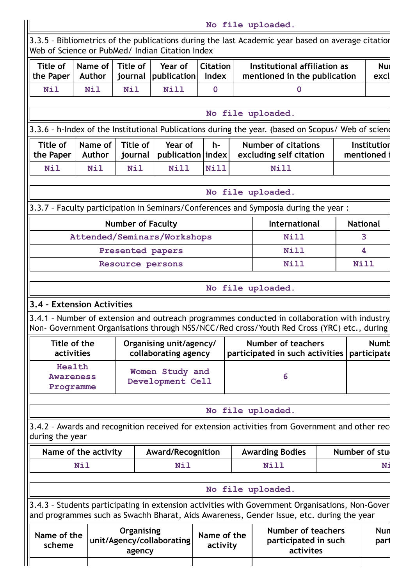|                            |                                                              | No file uploaded.                                                                                                                                                                           |                                                 |                                 |                                     |                                                   |                          |                                                 |
|----------------------------|--------------------------------------------------------------|---------------------------------------------------------------------------------------------------------------------------------------------------------------------------------------------|-------------------------------------------------|---------------------------------|-------------------------------------|---------------------------------------------------|--------------------------|-------------------------------------------------|
|                            |                                                              | 3.3.5 - Bibliometrics of the publications during the last Academic year based on average citatior                                                                                           |                                                 |                                 |                                     |                                                   |                          | Web of Science or PubMed/ Indian Citation Index |
| <b>Nui</b><br>excl         | Institutional affiliation as<br>mentioned in the publication |                                                                                                                                                                                             |                                                 | <b>Citation</b><br><b>Index</b> | Year of<br>publication              | <b>Title of</b><br>journal                        | Name of<br><b>Author</b> | <b>Title of</b><br>the Paper                    |
|                            |                                                              | $\mathbf{0}$                                                                                                                                                                                |                                                 | $\mathbf 0$                     | Nill                                | <b>Nil</b>                                        | <b>Nil</b>               | <b>Nil</b>                                      |
|                            |                                                              |                                                                                                                                                                                             |                                                 |                                 |                                     |                                                   |                          |                                                 |
|                            |                                                              | No file uploaded.                                                                                                                                                                           |                                                 |                                 |                                     |                                                   |                          |                                                 |
|                            |                                                              | 3.3.6 - h-Index of the Institutional Publications during the year. (based on Scopus/ Web of sciend                                                                                          |                                                 |                                 |                                     |                                                   |                          |                                                 |
| Institutior<br>mentioned i | <b>Number of citations</b><br>excluding self citation        |                                                                                                                                                                                             |                                                 | h-                              | Year of<br>publication   index      | Title of<br>journal                               | Name of<br>Author        | Title of<br>the Paper                           |
|                            |                                                              | <b>Nill</b>                                                                                                                                                                                 |                                                 | Nill                            | Nill                                | <b>Nil</b>                                        | <b>Nil</b>               | <b>Nil</b>                                      |
|                            |                                                              | No file uploaded.                                                                                                                                                                           |                                                 |                                 |                                     |                                                   |                          |                                                 |
|                            |                                                              | 3.3.7 - Faculty participation in Seminars/Conferences and Symposia during the year :                                                                                                        |                                                 |                                 |                                     |                                                   |                          |                                                 |
| <b>National</b>            |                                                              | International                                                                                                                                                                               |                                                 |                                 |                                     | <b>Number of Faculty</b>                          |                          |                                                 |
| 3                          |                                                              | <b>Nill</b>                                                                                                                                                                                 |                                                 |                                 | Attended/Seminars/Workshops         |                                                   |                          |                                                 |
| 4                          |                                                              | Nill                                                                                                                                                                                        |                                                 |                                 |                                     | Presented papers                                  |                          |                                                 |
| Nill                       |                                                              | <b>Nill</b>                                                                                                                                                                                 |                                                 |                                 |                                     | Resource persons                                  |                          |                                                 |
|                            |                                                              | 3.4.1 - Number of extension and outreach programmes conducted in collaboration with industry,<br>Non- Government Organisations through NSS/NCC/Red cross/Youth Red Cross (YRC) etc., during |                                                 |                                 |                                     |                                                   |                          | 3.4 - Extension Activities                      |
| <b>Numb</b><br>participate |                                                              | Number of teachers<br>participated in such activities                                                                                                                                       | Organising unit/agency/<br>collaborating agency |                                 |                                     |                                                   |                          | Title of the<br>activities                      |
|                            |                                                              | 6                                                                                                                                                                                           |                                                 |                                 | Women Study and<br>Development Cell |                                                   |                          | Health<br><b>Awareness</b><br>Programme         |
|                            |                                                              | No file uploaded.                                                                                                                                                                           |                                                 |                                 |                                     |                                                   |                          |                                                 |
|                            |                                                              | 3.4.2 - Awards and recognition received for extension activities from Government and other reco                                                                                             |                                                 |                                 |                                     |                                                   |                          | during the year                                 |
| Number of stu              |                                                              | <b>Awarding Bodies</b>                                                                                                                                                                      |                                                 |                                 | <b>Award/Recognition</b>            |                                                   |                          | Name of the activity                            |
| Ni                         |                                                              | <b>Nill</b>                                                                                                                                                                                 |                                                 |                                 | <b>Nil</b>                          |                                                   |                          | <b>Nil</b>                                      |
|                            |                                                              | No file uploaded.                                                                                                                                                                           |                                                 |                                 |                                     |                                                   |                          |                                                 |
|                            |                                                              | 3.4.3 - Students participating in extension activities with Government Organisations, Non-Gover<br>and programmes such as Swachh Bharat, Aids Awareness, Gender Issue, etc. during the year |                                                 |                                 |                                     |                                                   |                          |                                                 |
| <b>Nun</b><br>part         |                                                              | Number of teachers<br>participated in such<br>activites                                                                                                                                     |                                                 | Name of the<br>activity         |                                     | Organising<br>unit/Agency/collaborating<br>agency |                          | Name of the<br>scheme                           |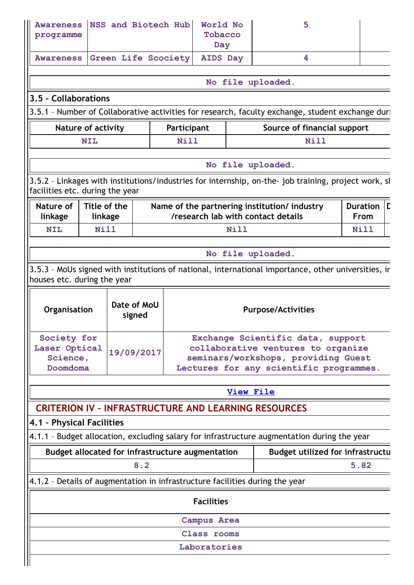| <b>Awareness</b><br>programme                        |                           | NSS and Biotech Hub                                     | World No<br>Tobacco<br>Day |             | 5                                                                                                              |                                |
|------------------------------------------------------|---------------------------|---------------------------------------------------------|----------------------------|-------------|----------------------------------------------------------------------------------------------------------------|--------------------------------|
| <b>Awareness</b>                                     |                           | <b>Green Life Scociety</b>                              | <b>AIDS Day</b>            |             | 4                                                                                                              |                                |
|                                                      |                           |                                                         |                            |             | No file uploaded.                                                                                              |                                |
| 3.5 - Collaborations                                 |                           |                                                         |                            |             |                                                                                                                |                                |
|                                                      |                           |                                                         |                            |             | 3.5.1 - Number of Collaborative activities for research, faculty exchange, student exchange duri               |                                |
|                                                      | <b>Nature of activity</b> |                                                         | Participant                |             | Source of financial support                                                                                    |                                |
|                                                      | <b>NIL</b>                |                                                         | <b>Nill</b>                |             | Nill                                                                                                           |                                |
|                                                      |                           |                                                         |                            |             | No file uploaded.                                                                                              |                                |
| facilities etc. during the year                      |                           |                                                         |                            |             | 3.5.2 - Linkages with institutions/industries for internship, on-the- job training, project work, sh           |                                |
| Nature of<br>linkage                                 | Title of the<br>linkage   |                                                         |                            |             | Name of the partnering institution/industry<br>/research lab with contact details                              | <b>Duration</b><br><b>From</b> |
| <b>NIL</b>                                           | <b>Nill</b>               |                                                         |                            | <b>Nill</b> |                                                                                                                | <b>Nill</b>                    |
|                                                      |                           |                                                         |                            |             |                                                                                                                |                                |
|                                                      |                           |                                                         |                            |             | No file uploaded.                                                                                              |                                |
| houses etc. during the year                          |                           |                                                         |                            |             | 3.5.3 - MoUs signed with institutions of national, international importance, other universities, in            |                                |
| Organisation                                         |                           | Date of MoU<br>signed                                   |                            |             | <b>Purpose/Activities</b>                                                                                      |                                |
| Society for<br>Laser Optical<br>Science,<br>Doomdoma |                           | 19/09/2017                                              |                            |             | Exchange Scientific data, support<br>collaborative ventures to organize<br>seminars/workshops, providing Guest |                                |
|                                                      |                           |                                                         |                            |             | Lectures for any scientific programmes.                                                                        |                                |
|                                                      |                           |                                                         |                            | View File   |                                                                                                                |                                |
|                                                      |                           |                                                         |                            |             | <b>CRITERION IV - INFRASTRUCTURE AND LEARNING RESOURCES</b>                                                    |                                |
| 4.1 - Physical Facilities                            |                           |                                                         |                            |             |                                                                                                                |                                |
|                                                      |                           |                                                         |                            |             | 4.1.1 - Budget allocation, excluding salary for infrastructure augmentation during the year                    |                                |
|                                                      |                           | Budget allocated for infrastructure augmentation<br>8.2 |                            |             | <b>Budget utilized for infrastructu</b>                                                                        | 5.82                           |
|                                                      |                           |                                                         |                            |             | 4.1.2 - Details of augmentation in infrastructure facilities during the year                                   |                                |
|                                                      |                           |                                                         | <b>Facilities</b>          |             |                                                                                                                |                                |
|                                                      |                           |                                                         | Campus Area                |             |                                                                                                                |                                |
|                                                      |                           |                                                         | Class rooms                |             |                                                                                                                |                                |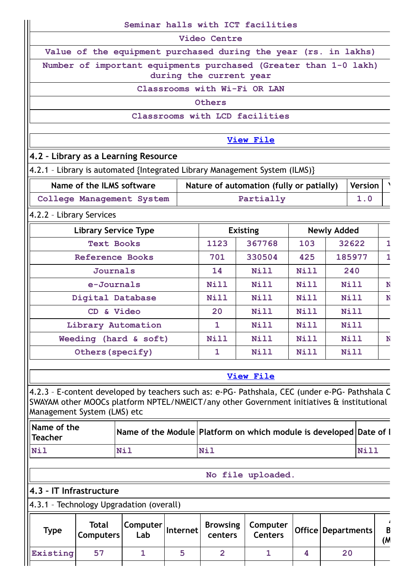|                                                                     |                                  |                           |          |                            | Seminar halls with ICT facilities                                                              |             |                    |                             |              |
|---------------------------------------------------------------------|----------------------------------|---------------------------|----------|----------------------------|------------------------------------------------------------------------------------------------|-------------|--------------------|-----------------------------|--------------|
|                                                                     |                                  |                           |          | Video Centre               |                                                                                                |             |                    |                             |              |
|                                                                     |                                  |                           |          |                            | Value of the equipment purchased during the year (rs. in lakhs)                                |             |                    |                             |              |
|                                                                     |                                  |                           |          | during the current year    | Number of important equipments purchased (Greater than 1-0 lakh)                               |             |                    |                             |              |
|                                                                     |                                  |                           |          |                            | Classrooms with Wi-Fi OR LAN                                                                   |             |                    |                             |              |
|                                                                     |                                  |                           |          | Others                     |                                                                                                |             |                    |                             |              |
|                                                                     |                                  |                           |          |                            | Classrooms with LCD facilities                                                                 |             |                    |                             |              |
|                                                                     |                                  |                           |          |                            | <b>View File</b>                                                                               |             |                    |                             |              |
| 4.2 - Library as a Learning Resource                                |                                  |                           |          |                            |                                                                                                |             |                    |                             |              |
|                                                                     |                                  |                           |          |                            | 4.2.1 - Library is automated {Integrated Library Management System (ILMS)}                     |             |                    |                             |              |
|                                                                     | Name of the ILMS software        |                           |          |                            | Nature of automation (fully or patially)                                                       |             |                    | <b>Version</b>              |              |
|                                                                     |                                  | College Management System |          |                            | Partially                                                                                      |             |                    | 1.0                         |              |
| 4.2.2 - Library Services                                            |                                  |                           |          |                            |                                                                                                |             |                    |                             |              |
|                                                                     | <b>Library Service Type</b>      |                           |          |                            | <b>Existing</b>                                                                                |             | <b>Newly Added</b> |                             |              |
|                                                                     | <b>Text Books</b>                |                           |          | 1123                       | 367768                                                                                         | 103         |                    | 32622                       | 1            |
|                                                                     | <b>Reference Books</b>           |                           |          | 701                        | 330504                                                                                         | 425         |                    | 185977                      | $\mathbf{1}$ |
|                                                                     | <b>Journals</b>                  |                           |          | 14                         | Nill                                                                                           | Nill        | 240                |                             |              |
|                                                                     | e-Journals                       |                           |          | Nill                       | Nill                                                                                           | <b>Nill</b> | <b>Nill</b>        |                             | N            |
|                                                                     | Digital Database                 |                           |          | Nill                       | <b>Nill</b>                                                                                    | <b>Nill</b> | <b>Nill</b>        |                             | N            |
|                                                                     | CD & Video                       |                           |          | 20                         | <b>Nill</b>                                                                                    | Nill        |                    | Nill                        |              |
|                                                                     | Library Automation               |                           |          | $\mathbf{1}$               | <b>Nill</b>                                                                                    | Nill        |                    | <b>Nill</b>                 |              |
|                                                                     |                                  | Weeding (hard & soft)     |          | Nill<br>Nill<br>Nill       |                                                                                                |             | Nill               | N                           |              |
|                                                                     | Others (specify)                 |                           |          | 1                          | Nill                                                                                           | Nill        |                    | <b>Nill</b>                 |              |
|                                                                     |                                  |                           |          |                            | <b>View File</b>                                                                               |             |                    |                             |              |
|                                                                     |                                  |                           |          |                            | 4.2.3 - E-content developed by teachers such as: e-PG- Pathshala, CEC (under e-PG- Pathshala C |             |                    |                             |              |
| Management System (LMS) etc                                         |                                  |                           |          |                            | SWAYAM other MOOCs platform NPTEL/NMEICT/any other Government initiatives & institutional      |             |                    |                             |              |
| Name of the<br><b>Teacher</b>                                       |                                  |                           |          |                            | Name of the Module   Platform on which module is developed   Date of I                         |             |                    |                             |              |
| <b>Nil</b>                                                          |                                  | <b>Nil</b>                |          | <b>Nil</b>                 |                                                                                                |             |                    | <b>Nill</b>                 |              |
|                                                                     |                                  |                           |          |                            |                                                                                                |             |                    |                             |              |
|                                                                     |                                  |                           |          |                            | No file uploaded.                                                                              |             |                    |                             |              |
| 4.3 - IT Infrastructure<br>4.3.1 - Technology Upgradation (overall) |                                  |                           |          |                            |                                                                                                |             |                    |                             |              |
| <b>Type</b>                                                         | <b>Total</b><br><b>Computers</b> | Computer<br>Lab           | Internet | <b>Browsing</b><br>centers | Computer<br><b>Centers</b>                                                                     |             |                    | <b>Office   Departments</b> | B<br>(M      |
| Existing                                                            | 57                               | $\mathbf{1}$              | 5        | $\overline{2}$             | $\mathbf{1}$                                                                                   | 4           |                    | 20                          |              |
|                                                                     |                                  |                           |          |                            |                                                                                                |             |                    |                             |              |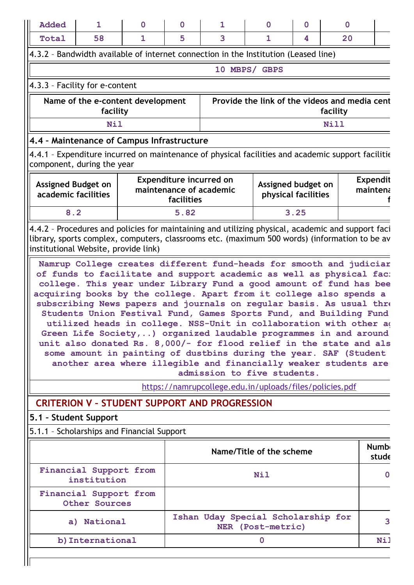|                                                                                               | $\mathbf 0$ | $\mathbf 0$                                               | $\mathbf 0$       | 1                                                                                                                                                                                                                                                                                                                                                                                                                                                                                                                                                                                                                                                                                                                          | $\mathbf 0$                           | $\mathbf 0$  | 1                                                | <b>Added</b>                         |
|-----------------------------------------------------------------------------------------------|-------------|-----------------------------------------------------------|-------------------|----------------------------------------------------------------------------------------------------------------------------------------------------------------------------------------------------------------------------------------------------------------------------------------------------------------------------------------------------------------------------------------------------------------------------------------------------------------------------------------------------------------------------------------------------------------------------------------------------------------------------------------------------------------------------------------------------------------------------|---------------------------------------|--------------|--------------------------------------------------|--------------------------------------|
|                                                                                               | 20          | 4                                                         | $\mathbf{1}$      | 3                                                                                                                                                                                                                                                                                                                                                                                                                                                                                                                                                                                                                                                                                                                          | 5                                     | $\mathbf{1}$ | 58                                               | Total                                |
|                                                                                               |             |                                                           |                   | 4.3.2 - Bandwidth available of internet connection in the Institution (Leased line)                                                                                                                                                                                                                                                                                                                                                                                                                                                                                                                                                                                                                                        |                                       |              |                                                  |                                      |
|                                                                                               |             |                                                           |                   | 10 MBPS/ GBPS                                                                                                                                                                                                                                                                                                                                                                                                                                                                                                                                                                                                                                                                                                              |                                       |              |                                                  |                                      |
|                                                                                               |             |                                                           |                   |                                                                                                                                                                                                                                                                                                                                                                                                                                                                                                                                                                                                                                                                                                                            |                                       |              | 4.3.3 - Facility for e-content                   |                                      |
|                                                                                               |             | Provide the link of the videos and media cent<br>facility |                   |                                                                                                                                                                                                                                                                                                                                                                                                                                                                                                                                                                                                                                                                                                                            |                                       |              | Name of the e-content development<br>facility    |                                      |
|                                                                                               |             | <b>Nill</b>                                               |                   |                                                                                                                                                                                                                                                                                                                                                                                                                                                                                                                                                                                                                                                                                                                            |                                       |              | <b>Nil</b>                                       |                                      |
|                                                                                               |             |                                                           |                   |                                                                                                                                                                                                                                                                                                                                                                                                                                                                                                                                                                                                                                                                                                                            |                                       |              | 4.4 - Maintenance of Campus Infrastructure       |                                      |
|                                                                                               |             |                                                           |                   | 4.4.1 - Expenditure incurred on maintenance of physical facilities and academic support facilitie                                                                                                                                                                                                                                                                                                                                                                                                                                                                                                                                                                                                                          |                                       |              | component, during the year                       |                                      |
| <b>Expendit</b><br>maintena                                                                   |             | Assigned budget on<br>physical facilities                 |                   | maintenance of academic                                                                                                                                                                                                                                                                                                                                                                                                                                                                                                                                                                                                                                                                                                    | Expenditure incurred on<br>facilities |              | <b>Assigned Budget on</b><br>academic facilities |                                      |
|                                                                                               |             | 3.25                                                      |                   |                                                                                                                                                                                                                                                                                                                                                                                                                                                                                                                                                                                                                                                                                                                            | 5.82                                  |              |                                                  | 8.2                                  |
| library, sports complex, computers, classrooms etc. (maximum 500 words) (information to be av |             |                                                           |                   | Namrup College creates different fund-heads for smooth and judiciar                                                                                                                                                                                                                                                                                                                                                                                                                                                                                                                                                                                                                                                        |                                       |              |                                                  | institutional Website, provide link) |
|                                                                                               |             |                                                           |                   | of funds to facilitate and support academic as well as physical fac:<br>college. This year under Library Fund a good amount of fund has bee<br>acquiring books by the college. Apart from it college also spends a<br>subscribing News papers and journals on regular basis. As usual three<br>Students Union Festival Fund, Games Sports Fund, and Building Fund<br>utilized heads in college. NSS-Unit in collaboration with other a<br>Green Life Society,) organized laudable programmes in and around<br>unit also donated Rs. 8,000/- for flood relief in the state and als<br>some amount in painting of dustbins during the year. SAF (Student<br>another area where illegible and financially weaker students are |                                       |              |                                                  |                                      |
|                                                                                               |             |                                                           |                   | admission to five students.<br>https://namrupcollege.edu.in/uploads/files/policies.pdf                                                                                                                                                                                                                                                                                                                                                                                                                                                                                                                                                                                                                                     |                                       |              |                                                  |                                      |
|                                                                                               |             |                                                           |                   | <b>CRITERION V - STUDENT SUPPORT AND PROGRESSION</b>                                                                                                                                                                                                                                                                                                                                                                                                                                                                                                                                                                                                                                                                       |                                       |              |                                                  |                                      |
|                                                                                               |             |                                                           |                   |                                                                                                                                                                                                                                                                                                                                                                                                                                                                                                                                                                                                                                                                                                                            |                                       |              | 5.1 - Student Support                            |                                      |
|                                                                                               |             |                                                           |                   |                                                                                                                                                                                                                                                                                                                                                                                                                                                                                                                                                                                                                                                                                                                            |                                       |              | 5.1.1 - Scholarships and Financial Support       |                                      |
| <b>Numb</b><br>stude                                                                          |             |                                                           |                   | Name/Title of the scheme                                                                                                                                                                                                                                                                                                                                                                                                                                                                                                                                                                                                                                                                                                   |                                       |              |                                                  |                                      |
| 0                                                                                             |             |                                                           | <b>Nil</b>        |                                                                                                                                                                                                                                                                                                                                                                                                                                                                                                                                                                                                                                                                                                                            |                                       |              | Financial Support from<br>institution            |                                      |
|                                                                                               |             |                                                           |                   |                                                                                                                                                                                                                                                                                                                                                                                                                                                                                                                                                                                                                                                                                                                            |                                       |              | Financial Support from<br>Other Sources          |                                      |
| 3                                                                                             |             |                                                           | NER (Post-metric) | Ishan Uday Special Scholarship for                                                                                                                                                                                                                                                                                                                                                                                                                                                                                                                                                                                                                                                                                         |                                       |              | a) National                                      |                                      |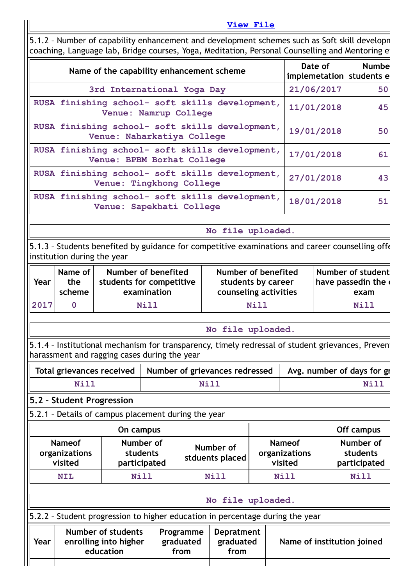**[View](https://assessmentonline.naac.gov.in/public/Postacc/Scholarships/9164_Scholarships_1640156962.xlsx) File**

5.1.2 – Number of capability enhancement and development schemes such as Soft skill developm coaching, Language lab, Bridge courses, Yoga, Meditation, Personal Counselling and Mentoring et

| Name of the capability enhancement scheme                                     | Date of<br>implemetation   students e | <b>Numbe</b> |
|-------------------------------------------------------------------------------|---------------------------------------|--------------|
| 3rd International Yoga Day                                                    | 21/06/2017                            | 50           |
| RUSA finishing school- soft skills development,<br>Venue: Namrup College      | 11/01/2018                            | 45           |
| RUSA finishing school- soft skills development,<br>Venue: Naharkatiya College | 19/01/2018                            | 50           |
| RUSA finishing school- soft skills development,<br>Venue: BPBM Borhat College | 17/01/2018                            | 61           |
| RUSA finishing school- soft skills development,<br>Venue: Tingkhong College   | 27/01/2018                            | 43           |
| RUSA finishing school- soft skills development,<br>Venue: Sapekhati College   | 18/01/2018                            | 51           |

**No file uploaded.**

5.1.3 – Students benefited by guidance for competitive examinations and career counselling offe institution during the year

| Year | Name of | Number of benefited      | Number of benefited   | Number of student              |
|------|---------|--------------------------|-----------------------|--------------------------------|
|      | the     | students for competitive | students by career    | I have passedin the $\epsilon$ |
|      | scheme  | examination              | counseling activities | exam                           |
| 2017 |         | Nill                     | N <sub>i</sub> 11     | <b>Nill</b>                    |

**No file uploaded.**

5.1.4 - Institutional mechanism for transparency, timely redressal of student grievances, Prevent harassment and ragging cases during the year

|      | Total grievances received   Number of grievances redressed   Avg. number of days for gr |      |
|------|-----------------------------------------------------------------------------------------|------|
| Nill | Nill                                                                                    | Nill |

### **5.2 – Student Progression**

5.2.1 – Details of campus placement during the year

|                                           | On campus                             |                              | Off campus                                |                                       |
|-------------------------------------------|---------------------------------------|------------------------------|-------------------------------------------|---------------------------------------|
| <b>Nameof</b><br>organizations<br>visited | Number of<br>students<br>participated | Number of<br>stduents placed | <b>Nameof</b><br>organizations<br>visited | Number of<br>students<br>participated |
| <b>NIL</b>                                | Nill                                  | <b>Nill</b>                  | Nill                                      | <b>Nill</b>                           |
|                                           |                                       |                              |                                           |                                       |

| No file uploaded.                                                             |           |                   |  |  |  |  |
|-------------------------------------------------------------------------------|-----------|-------------------|--|--|--|--|
| 5.2.2 - Student progression to higher education in percentage during the year |           |                   |  |  |  |  |
| <b>Number of students</b>                                                     | Programme | <b>Depratment</b> |  |  |  |  |

| Year | Number of students<br>enrolling into higher<br>education | graduated<br>from | Programme   Depratment  <br>graduated<br>from | Name of institution joined |
|------|----------------------------------------------------------|-------------------|-----------------------------------------------|----------------------------|
|      |                                                          |                   |                                               |                            |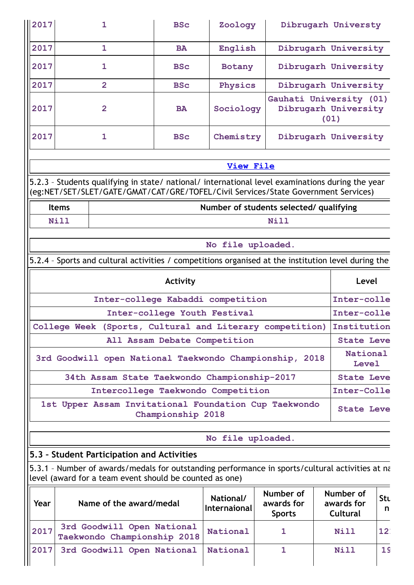| 2017         | 1                                                                                                                                                                                      | <b>BSc</b>                         | Zoology           |                                                         | Dibrugarh Universty  |  |  |
|--------------|----------------------------------------------------------------------------------------------------------------------------------------------------------------------------------------|------------------------------------|-------------------|---------------------------------------------------------|----------------------|--|--|
| 2017         | $\mathbf{1}$                                                                                                                                                                           | <b>BA</b>                          | English           |                                                         | Dibrugarh University |  |  |
| 2017         | 1                                                                                                                                                                                      | <b>BSc</b>                         | Botany            |                                                         | Dibrugarh University |  |  |
| 2017         | $\overline{2}$                                                                                                                                                                         | <b>BSc</b>                         | Physics           |                                                         | Dibrugarh University |  |  |
| 2017         | $\overline{2}$                                                                                                                                                                         | <b>BA</b>                          | Sociology         | Gauhati University (01)<br>Dibrugarh University<br>(01) |                      |  |  |
| 2017         | 1                                                                                                                                                                                      | <b>BSc</b>                         | Chemistry         |                                                         | Dibrugarh University |  |  |
|              |                                                                                                                                                                                        |                                    | View File         |                                                         |                      |  |  |
|              | 5.2.3 - Students qualifying in state/ national/ international level examinations during the year<br>(eg:NET/SET/SLET/GATE/GMAT/CAT/GRE/TOFEL/Civil Services/State Government Services) |                                    |                   |                                                         |                      |  |  |
| <b>Items</b> |                                                                                                                                                                                        |                                    |                   | Number of students selected/ qualifying                 |                      |  |  |
| <b>Nill</b>  |                                                                                                                                                                                        |                                    |                   | <b>Nill</b>                                             |                      |  |  |
|              |                                                                                                                                                                                        |                                    | No file uploaded. |                                                         |                      |  |  |
|              | 5.2.4 - Sports and cultural activities / competitions organised at the institution level during the                                                                                    |                                    |                   |                                                         |                      |  |  |
|              |                                                                                                                                                                                        | <b>Activity</b>                    |                   |                                                         | Level                |  |  |
|              |                                                                                                                                                                                        | Inter-college Kabaddi competition  |                   |                                                         | Inter-colle          |  |  |
|              |                                                                                                                                                                                        | Inter-college Youth Festival       |                   |                                                         | Inter-colle          |  |  |
|              | College Week (Sports, Cultural and Literary competition)                                                                                                                               |                                    |                   |                                                         | Institution          |  |  |
|              |                                                                                                                                                                                        | All Assam Debate Competition       |                   |                                                         | <b>State Leve</b>    |  |  |
|              | 3rd Goodwill open National Taekwondo Championship,                                                                                                                                     |                                    |                   | 2018                                                    | National<br>Level    |  |  |
|              | 34th Assam State Taekwondo Championship-2017                                                                                                                                           |                                    |                   |                                                         | <b>State Leve</b>    |  |  |
|              |                                                                                                                                                                                        | Intercollege Taekwondo Competition |                   |                                                         | Inter-Colle          |  |  |
|              | 1st Upper Assam Invitational Foundation Cup Taekwondo                                                                                                                                  | Championship 2018                  |                   |                                                         | <b>State Leve</b>    |  |  |
|              |                                                                                                                                                                                        |                                    | No file uploaded. |                                                         |                      |  |  |
|              | 5.3 - Student Participation and Activities                                                                                                                                             |                                    |                   |                                                         |                      |  |  |
|              | 5.3.1 - Number of awards/medals for outstanding performance in sports/cultural activities at na<br>level (award for a team event should be counted as one)                             |                                    |                   |                                                         |                      |  |  |
|              |                                                                                                                                                                                        |                                    |                   |                                                         |                      |  |  |

| Year | Name of the award/medal                                   | National/<br>Internaional | Number of<br>awards for<br><b>Sports</b> | Number of<br>awards for<br>Cultural | <b>Stu</b><br>n |
|------|-----------------------------------------------------------|---------------------------|------------------------------------------|-------------------------------------|-----------------|
| 2017 | 3rd Goodwill Open National<br>Taekwondo Championship 2018 | National                  |                                          | <b>Nill</b>                         | 12 <sup>1</sup> |
| 2017 | 3rd Goodwill Open National                                | National                  |                                          | Nill                                | 1 <sup>c</sup>  |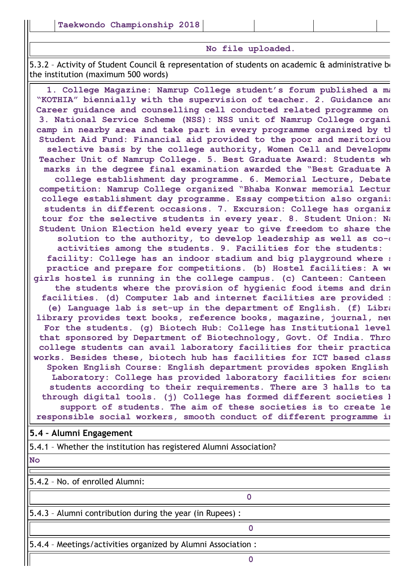#### **No file uploaded.**

5.3.2 - Activity of Student Council & representation of students on academic & administrative bo the institution (maximum 500 words)

**1. College Magazine: Namrup College student's forum published a ma "KOTHIA" biennially with the supervision of teacher. 2. Guidance and Career guidance and counselling cell conducted related programme on 3. National Service Scheme (NSS): NSS unit of Namrup College organi camp in nearby area and take part in every programme organized by th Student Aid Fund: Financial aid provided to the poor and meritoriou selective basis by the college authority, Women Cell and Developme Teacher Unit of Namrup College. 5. Best Graduate Award: Students wh marks in the degree final examination awarded the "Best Graduate A college establishment day programme. 6. Memorial Lecture, Debate competition: Namrup College organized "Bhaba Konwar memorial Lectur college establishment day programme. Essay competition also organiz students in different occasions. 7. Excursion: College has organiz tour for the selective students in every year. 8. Student Union: Na Student Union Election held every year to give freedom to share the solution to the authority, to develop leadership as well as co-c activities among the students. 9. Facilities for the students: facility: College has an indoor stadium and big playground where s practice and prepare for competitions. (b) Hostel facilities: A we girls hostel is running in the college campus. (c) Canteen: Canteen the students where the provision of hygienic food items and drin facilities. (d) Computer lab and internet facilities are provided f (e) Language lab is set-up in the department of English. (f) Libra library provides text books, reference books, magazine, journal, new For the students. (g) Biotech Hub: College has Institutional level that sponsored by Department of Biotechnology, Govt. Of India. Thro college students can avail laboratory facilities for their practica works. Besides these, biotech hub has facilities for ICT based class Spoken English Course: English department provides spoken English Laboratory: College has provided laboratory facilities for scienc students according to their requirements. There are 3 halls to ta through digital tools. (j) College has formed different societies b support of students. The aim of these societies is to create le responsible social workers, smooth conduct of different programme in**

#### **5.4 – Alumni Engagement**

5.4.1 – Whether the institution has registered Alumni Association?

**No**

5.4.2 – No. of enrolled Alumni:

5.4.3 – Alumni contribution during the year (in Rupees) :

5.4.4 – Meetings/activities organized by Alumni Association :

**0**

**0**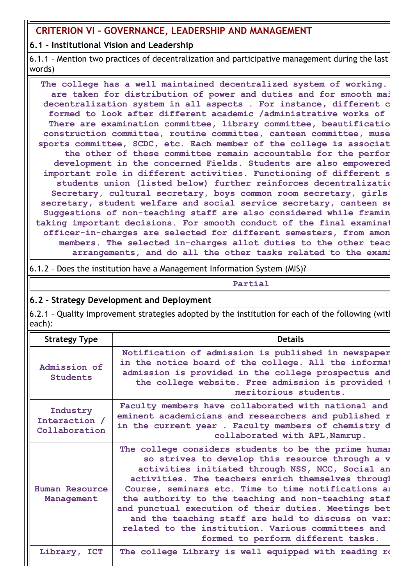# **CRITERION VI – GOVERNANCE, LEADERSHIP AND MANAGEMENT**

### **6.1 – Institutional Vision and Leadership**

6.1.1 – Mention two practices of decentralization and participative management during the last words)

**The college has a well maintained decentralized system of working. are taken for distribution of power and duties and for smooth mai decentralization system in all aspects . For instance, different c formed to look after different academic /administrative works of There are examination committee, library committee, beautificatio construction committee, routine committee, canteen committee, muse sports committee, SCDC, etc. Each member of the college is associat the other of these committee remain accountable for the perfor development in the concerned Fields. Students are also empowered important role in different activities. Functioning of different s students union (listed below) further reinforces decentralizatio Secretary, cultural secretary, boys common room secretary, girls secretary, student welfare and social service secretary, canteen se Suggestions of non-teaching staff are also considered while framin taking important decisions. For smooth conduct of the final examinat officer-in-charges are selected for different semesters, from amon members. The selected in-charges allot duties to the other teac arrangements, and do all the other tasks related to the exami**

6.1.2 – Does the institution have a Management Information System (MIS)?

#### **Partial**

### **6.2 – Strategy Development and Deployment**

6.2.1 – Quality improvement strategies adopted by the institution for each of the following (with each):

| <b>Strategy Type</b>                       | <b>Details</b>                                                                                                                                                                                                                                                                                                                                                                                                                                                                                                                            |
|--------------------------------------------|-------------------------------------------------------------------------------------------------------------------------------------------------------------------------------------------------------------------------------------------------------------------------------------------------------------------------------------------------------------------------------------------------------------------------------------------------------------------------------------------------------------------------------------------|
| Admission of<br>Students                   | Notification of admission is published in newspaper<br>in the notice board of the college. All the informat<br>admission is provided in the college prospectus and<br>the college website. Free admission is provided t<br>meritorious students.                                                                                                                                                                                                                                                                                          |
| Industry<br>Interaction /<br>Collaboration | Faculty members have collaborated with national and<br>eminent academicians and researchers and published r<br>in the current year . Faculty members of chemistry d<br>collaborated with APL, Namrup.                                                                                                                                                                                                                                                                                                                                     |
| Human Resource<br>Management               | The college considers students to be the prime human<br>so strives to develop this resource through a v<br>activities initiated through NSS, NCC, Social an<br>activities. The teachers enrich themselves through<br>Course, seminars etc. Time to time notifications an<br>the authority to the teaching and non-teaching staf<br>and punctual execution of their duties. Meetings bet<br>and the teaching staff are held to discuss on vari<br>related to the institution. Various committees and<br>formed to perform different tasks. |
| Library, ICT                               | The college Library is well equipped with reading ro                                                                                                                                                                                                                                                                                                                                                                                                                                                                                      |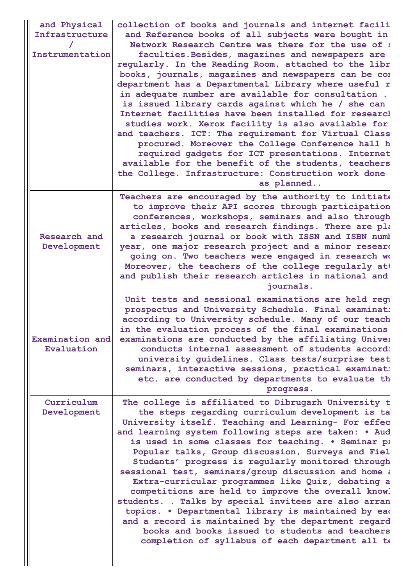| and Physical<br>Infrastructure<br>Instrumentation | collection of books and journals and internet facili<br>and Reference books of all subjects were bought in<br>Network Research Centre was there for the use of a<br>faculties. Besides, magazines and newspapers are<br>regularly. In the Reading Room, attached to the libr<br>books, journals, magazines and newspapers can be com<br>department has a Departmental Library where useful r<br>in adequate number are available for consultation.<br>is issued library cards against which he / she can<br>Internet facilities have been installed for research<br>studies work. Xerox facility is also available for<br>and teachers. ICT: The requirement for Virtual Class<br>procured. Moreover the College Conference hall h<br>required gadgets for ICT presentations. Internet<br>available for the benefit of the students, teachers<br>the College. Infrastructure: Construction work done<br>as planned |
|---------------------------------------------------|--------------------------------------------------------------------------------------------------------------------------------------------------------------------------------------------------------------------------------------------------------------------------------------------------------------------------------------------------------------------------------------------------------------------------------------------------------------------------------------------------------------------------------------------------------------------------------------------------------------------------------------------------------------------------------------------------------------------------------------------------------------------------------------------------------------------------------------------------------------------------------------------------------------------|
| Research and<br>Development                       | Teachers are encouraged by the authority to initiate<br>to improve their API scores through participation<br>conferences, workshops, seminars and also through<br>articles, books and research findings. There are pla<br>a research journal or book with ISSN and ISBN numb<br>year, one major research project and a minor researd<br>going on. Two teachers were engaged in research wo<br>Moreover, the teachers of the college regularly att<br>and publish their research articles in national and<br>journals.                                                                                                                                                                                                                                                                                                                                                                                              |
| Examination and<br>Evaluation                     | Unit tests and sessional examinations are held regu<br>prospectus and University Schedule. Final examinati<br>according to University schedule. Many of our teach<br>in the evaluation process of the final examinations.<br>examinations are conducted by the affiliating Univer<br>conducts internal assessment of students accordi<br>university guidelines. Class tests/surprise test<br>seminars, interactive sessions, practical examinati<br>etc. are conducted by departments to evaluate th<br>progress.                                                                                                                                                                                                                                                                                                                                                                                                  |
| Curriculum<br>Development                         | The college is affiliated to Dibrugarh University t<br>the steps regarding curriculum development is ta<br>University itself. Teaching and Learning- For effec<br>and learning system following steps are taken: . Aud<br>is used in some classes for teaching. . Seminar pi<br>Popular talks, Group discussion, Surveys and Fiel<br>Students' progress is regularly monitored through<br>sessional test, seminars/group discussion and home a<br>Extra-curricular programmes like Quiz, debating a<br>competitions are held to improve the overall knowl<br>students. . Talks by special invitees are also arran<br>topics. . Departmental library is maintained by ead<br>and a record is maintained by the department regard<br>books and books issued to students and teachers<br>completion of syllabus of each department all te                                                                             |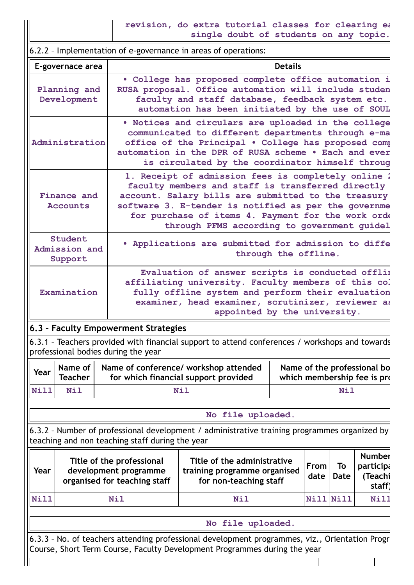**revision, do extra tutorial classes for clearing ea single doubt of students on any topic.**

6.2.2 – Implementation of e-governance in areas of operations: **E-governace area and the contract of the contract of the contract of the contract of the Details Planning and Development • College has proposed complete office automation i RUSA proposal. Office automation will include studen faculty and staff database, feedback system etc. automation has been initiated by the use of SOUL Administration • Notices and circulars are uploaded in the college communicated to different departments through e-ma office of the Principal • College has proposed comp automation in the DPR of RUSA scheme • Each and ever is circulated by the coordinator himself throug Finance and Accounts 1. Receipt of admission fees is completely online 2 faculty members and staff is transferred directly account. Salary bills are submitted to the treasury software 3. E-tender is notified as per the governme for purchase of items 4. Payment for the work orde through PFMS according to government guidel Student Admission and Support • Applications are submitted for admission to diffe through the offline. Examination Evaluation of answer scripts is conducted offlin affiliating university. Faculty members of this col fully offline system and perform their evaluation examiner, head examiner, scrutinizer, reviewer as appointed by the university. 6.3 – Faculty Empowerment Strategies** 6.3.1 – Teachers provided with financial support to attend conferences / workshops and towards professional bodies during the year **Year Name of Teacher Name of conference/ workshop attended for which financial support provided Name of the professional bo** which membership fee is pro **Nill Nil Nil Nil No file uploaded.** 6.3.2 – Number of professional development / administrative training programmes organized by teaching and non teaching staff during the year **Year Title of the professional development programme organised for teaching staff Title of the administrative training programme organised for non-teaching staff From date To Date Number participa (Teachi staff) Nill Nil Nil Nill Nill Nill No file uploaded.** 6.3.3 – No. of teachers attending professional development programmes, viz., Orientation Progra Course, Short Term Course, Faculty Development Programmes during the year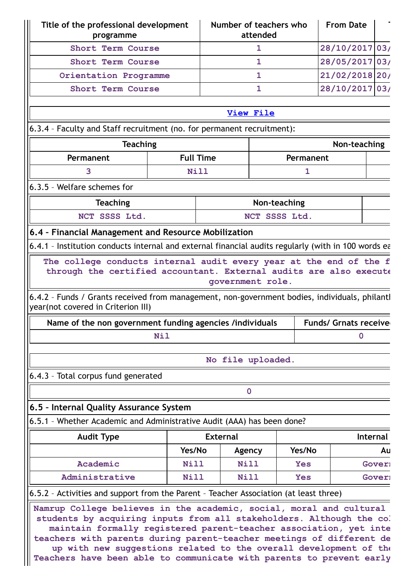| Title of the professional development<br>programme                                                                                                                                                               |                  |                   | Number of teachers who<br>attended |            | <b>From Date</b>             |               |
|------------------------------------------------------------------------------------------------------------------------------------------------------------------------------------------------------------------|------------------|-------------------|------------------------------------|------------|------------------------------|---------------|
| Short Term Course                                                                                                                                                                                                |                  |                   | 1                                  |            | 28/10/2017 03/               |               |
| Short Term Course                                                                                                                                                                                                |                  |                   | $\mathbf{1}$                       |            | 28/05/2017 03/               |               |
| Orientation Programme                                                                                                                                                                                            |                  |                   | $\mathbf{1}$                       |            | 21/02/2018 20/               |               |
| Short Term Course                                                                                                                                                                                                |                  |                   | $\mathbf{1}$                       |            | 28/10/2017 03/               |               |
|                                                                                                                                                                                                                  |                  |                   | <b>View File</b>                   |            |                              |               |
| 6.3.4 - Faculty and Staff recruitment (no. for permanent recruitment):                                                                                                                                           |                  |                   |                                    |            |                              |               |
| <b>Teaching</b>                                                                                                                                                                                                  |                  |                   |                                    |            | Non-teaching                 |               |
| Permanent                                                                                                                                                                                                        | <b>Full Time</b> |                   |                                    | Permanent  |                              |               |
| 3                                                                                                                                                                                                                | Nill             |                   |                                    | 1          |                              |               |
| 6.3.5 - Welfare schemes for                                                                                                                                                                                      |                  |                   |                                    |            |                              |               |
| <b>Teaching</b>                                                                                                                                                                                                  |                  |                   | Non-teaching                       |            |                              |               |
| NCT SSSS Ltd.                                                                                                                                                                                                    |                  |                   | NCT SSSS Ltd.                      |            |                              |               |
| 6.4 - Financial Management and Resource Mobilization                                                                                                                                                             |                  |                   |                                    |            |                              |               |
| 6.4.1 - Institution conducts internal and external financial audits regularly (with in 100 words ea                                                                                                              |                  |                   |                                    |            |                              |               |
| 6.4.2 - Funds / Grants received from management, non-government bodies, individuals, philantl<br>year(not covered in Criterion III)                                                                              |                  | government role.  |                                    |            |                              |               |
| Name of the non government funding agencies /individuals                                                                                                                                                         |                  |                   |                                    |            | <b>Funds/ Grnats receive</b> |               |
| <b>Nil</b>                                                                                                                                                                                                       |                  |                   |                                    |            | $\mathbf 0$                  |               |
|                                                                                                                                                                                                                  |                  | No file uploaded. |                                    |            |                              |               |
| 6.4.3 - Total corpus fund generated                                                                                                                                                                              |                  |                   |                                    |            |                              |               |
|                                                                                                                                                                                                                  |                  |                   | $\mathbf 0$                        |            |                              |               |
| 6.5 - Internal Quality Assurance System                                                                                                                                                                          |                  |                   |                                    |            |                              |               |
| 6.5.1 - Whether Academic and Administrative Audit (AAA) has been done?                                                                                                                                           |                  |                   |                                    |            |                              |               |
| <b>Audit Type</b>                                                                                                                                                                                                |                  | <b>External</b>   |                                    |            |                              | Internal      |
|                                                                                                                                                                                                                  | Yes/No           |                   | Agency                             | Yes/No     |                              | Au            |
| Academic                                                                                                                                                                                                         | Nill             |                   | Nill                               | <b>Yes</b> |                              | Gover:        |
| Administrative                                                                                                                                                                                                   | <b>Nill</b>      |                   | <b>Nill</b>                        | <b>Yes</b> |                              | <b>Gover:</b> |
| 6.5.2 - Activities and support from the Parent - Teacher Association (at least three)                                                                                                                            |                  |                   |                                    |            |                              |               |
| Namrup College believes in the academic, social, moral and cultural<br>students by acquiring inputs from all stakeholders. Although the co.<br>maintain formally registered parent-teacher association, yet inte |                  |                   |                                    |            |                              |               |

**teachers with parents during parent-teacher meetings of different de up with new suggestions related to the overall development of the Teachers have been able to communicate with parents to prevent early**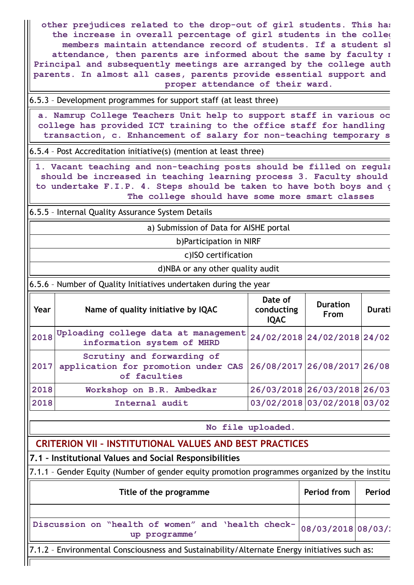**other prejudices related to the drop-out of girl students. This has the increase in overall percentage of girl students in the colleg members maintain attendance record of students. If a student sh attendance, then parents are informed about the same by faculty m Principal and subsequently meetings are arranged by the college auth parents. In almost all cases, parents provide essential support and proper attendance of their ward.**

6.5.3 – Development programmes for support staff (at least three)

**a. Namrup College Teachers Unit help to support staff in various oc college has provided ICT training to the office staff for handling transaction, c. Enhancement of salary for non-teaching temporary s**

6.5.4 – Post Accreditation initiative(s) (mention at least three)

**1. Vacant teaching and non-teaching posts should be filled on regula should be increased in teaching learning process 3. Faculty should to undertake F.I.P. 4. Steps should be taken to have both boys and g The college should have some more smart classes**

6.5.5 – Internal Quality Assurance System Details

a) Submission of Data for AISHE portal

b)Participation in NIRF

c)ISO certification

d)NBA or any other quality audit

6.5.6 – Number of Quality Initiatives undertaken during the year

| Year | Name of quality initiative by IQAC                                                | Date of<br>conducting<br><b>IQAC</b> | <b>Duration</b><br><b>From</b> | Durati |
|------|-----------------------------------------------------------------------------------|--------------------------------------|--------------------------------|--------|
|      | 2018 Uploading college data at management<br>information system of MHRD           |                                      | 24/02/2018 24/02/2018 24/02    |        |
| 2017 | Scrutiny and forwarding of<br>application for promotion under CAS<br>of faculties |                                      | 26/08/2017 26/08/2017 26/08    |        |
| 2018 | Workshop on B.R. Ambedkar                                                         |                                      | 26/03/2018 26/03/2018 26/03    |        |
| 2018 | Internal audit                                                                    |                                      | 03/02/2018 03/02/2018 03/02    |        |

**No file uploaded.**

# **CRITERION VII – INSTITUTIONAL VALUES AND BEST PRACTICES**

**7.1 – Institutional Values and Social Responsibilities**

7.1.1 – Gender Equity (Number of gender equity promotion programmes organized by the institu

| Discussion on "health of women" and 'health check- 08/03/2018 08/03/.<br>up programme' | Title of the programme | Period from | Period |
|----------------------------------------------------------------------------------------|------------------------|-------------|--------|
|                                                                                        |                        |             |        |
|                                                                                        |                        |             |        |

7.1.2 – Environmental Consciousness and Sustainability/Alternate Energy initiatives such as: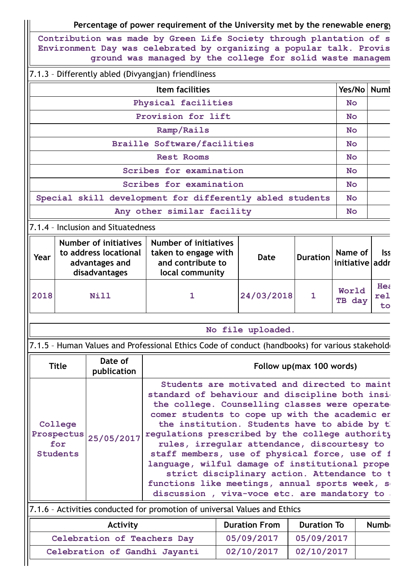# **Percentage of power requirement of the University met by the renewable energy**

**Contribution was made by Green Life Society through plantation of s Environment Day was celebrated by organizing a popular talk. Provis ground was managed by the college for solid waste managem**

### 7.1.3 – Differently abled (Divyangjan) friendliness

| <b>Item facilities</b>                                   | Yes/No   Numl |  |
|----------------------------------------------------------|---------------|--|
| Physical facilities                                      | <b>No</b>     |  |
| Provision for lift                                       | <b>No</b>     |  |
| Ramp/Rails                                               | <b>No</b>     |  |
| <b>Braille Software/facilities</b>                       | <b>No</b>     |  |
| <b>Rest Rooms</b>                                        | <b>No</b>     |  |
| Scribes for examination                                  | <b>No</b>     |  |
| Scribes for examination                                  | <b>No</b>     |  |
| Special skill development for differently abled students | <b>No</b>     |  |
| Any other similar facility                               | <b>No</b>     |  |

#### 7.1.4 – Inclusion and Situatedness

| Year | Number of initiatives<br>to address locational<br>advantages and<br>disadvantages | <b>Number of initiatives</b><br>taken to engage with<br>and contribute to<br>local community | Date       | $\left $ Duration   Name of $\left  \right $ lss<br>  Duration   initiative   addr |                  |
|------|-----------------------------------------------------------------------------------|----------------------------------------------------------------------------------------------|------------|------------------------------------------------------------------------------------|------------------|
| 2018 | <b>Nill</b>                                                                       |                                                                                              | 24/03/2018 | World<br>TB day                                                                    | Hea<br>rel<br>to |

#### **No file uploaded.**

7.1.5 - Human Values and Professional Ethics Code of conduct (handbooks) for various stakeholde

| <b>Title</b>                                               | Date of<br>publication | Follow up(max 100 words)                                                                                                                                                                                                                                                                                                                                                                                                                                                                                                                                                                                  |
|------------------------------------------------------------|------------------------|-----------------------------------------------------------------------------------------------------------------------------------------------------------------------------------------------------------------------------------------------------------------------------------------------------------------------------------------------------------------------------------------------------------------------------------------------------------------------------------------------------------------------------------------------------------------------------------------------------------|
| College<br>Prospectus 25/05/2017<br>for<br><b>Students</b> |                        | Students are motivated and directed to maint<br>standard of behaviour and discipline both insi<br>the college. Counselling classes were operate<br>comer students to cope up with the academic er<br>the institution. Students have to abide by the<br>requlations prescribed by the college authority<br>rules, irregular attendance, discourtesy to<br>staff members, use of physical force, use of f<br>language, wilful damage of institutional prope<br>strict disciplinary action. Attendance to t<br>functions like meetings, annual sports week, s<br>discussion, viva-voce etc. are mandatory to |
|                                                            |                        | 7.1.6 - Activities conducted for promotion of universal Values and Ethics                                                                                                                                                                                                                                                                                                                                                                                                                                                                                                                                 |

| <b>Activity</b>               | <b>Duration From</b> | <b>Duration To</b> | <b>Numb</b> |
|-------------------------------|----------------------|--------------------|-------------|
| Celebration of Teachers Day   | 05/09/2017           | 05/09/2017         |             |
| Celebration of Gandhi Jayanti | 02/10/2017           | 02/10/2017         |             |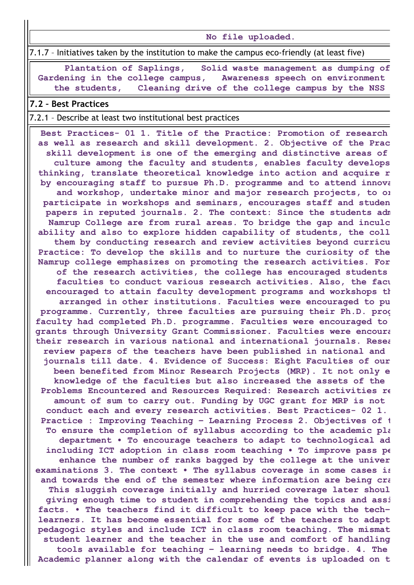**No file uploaded.**

7.1.7 – Initiatives taken by the institution to make the campus eco-friendly (at least five)

**Plantation of Saplings, Solid waste management as dumping of Gardening in the college campus, Awareness speech on environment the students, Cleaning drive of the college campus by the NSS**

#### **7.2 – Best Practices**

#### 7.2.1 – Describe at least two institutional best practices

**Best Practices- 01 1. Title of the Practice: Promotion of research as well as research and skill development. 2. Objective of the Prac skill development is one of the emerging and distinctive areas of culture among the faculty and students, enables faculty develops thinking, translate theoretical knowledge into action and acquire r by encouraging staff to pursue Ph.D. programme and to attend innova and workshop, undertake minor and major research projects, to or participate in workshops and seminars, encourages staff and studen papers in reputed journals. 2. The context: Since the students adm Namrup College are from rural areas. To bridge the gap and inculc ability and also to explore hidden capability of students, the coll them by conducting research and review activities beyond curricu Practice: To develop the skills and to nurture the curiosity of the Namrup college emphasizes on promoting the research activities. For of the research activities, the college has encouraged students faculties to conduct various research activities. Also, the facu encouraged to attain faculty development programs and workshops th arranged in other institutions. Faculties were encouraged to pu programme. Currently, three faculties are pursuing their Ph.D. prog faculty had completed Ph.D. programme. Faculties were encouraged to grants through University Grant Commissioner. Faculties were encoura their research in various national and international journals. Resea review papers of the teachers have been published in national and journals till date. 4. Evidence of Success: Eight Faculties of our been benefited from Minor Research Projects (MRP). It not only e knowledge of the faculties but also increased the assets of the Problems Encountered and Resources Required: Research activities re amount of sum to carry out. Funding by UGC grant for MRP is not conduct each and every research activities. Best Practices- 02 1. Practice : Improving Teaching – Learning Process 2. Objectives of t To ensure the completion of syllabus according to the academic pla department • To encourage teachers to adapt to technological ad including ICT adoption in class room teaching • To improve pass pe enhance the number of ranks bagged by the college at the univer examinations 3. The context • The syllabus coverage in some cases is and towards the end of the semester where information are being cra This sluggish coverage initially and hurried coverage later shoul giving enough time to student in comprehending the topics and assi facts. • The teachers find it difficult to keep pace with the tech– learners. It has become essential for some of the teachers to adapt pedagogic styles and include ICT in class room teaching. The mismat student learner and the teacher in the use and comfort of handling tools available for teaching – learning needs to bridge. 4. The Academic planner along with the calendar of events is uploaded on t**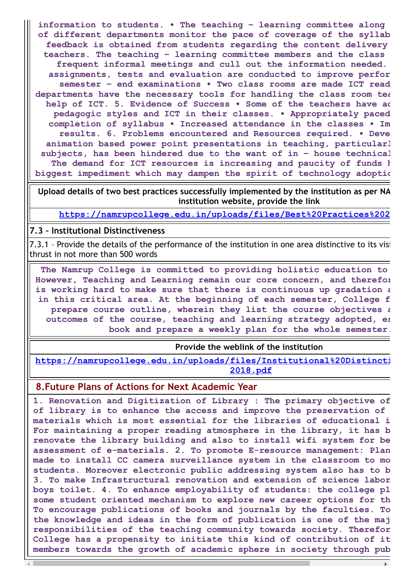**information to students. • The teaching – learning committee along of different departments monitor the pace of coverage of the syllab feedback is obtained from students regarding the content delivery teachers. The teaching – learning committee members and the class frequent informal meetings and cull out the information needed. assignments, tests and evaluation are conducted to improve perfor semester – end examinations • Two class rooms are made ICT read departments have the necessary tools for handling the class room tea help of ICT. 5. Evidence of Success • Some of the teachers have ad pedagogic styles and ICT in their classes. • Appropriately paced completion of syllabus • Increased attendance in the classes • Im results. 6. Problems encountered and Resources required. • Deve animation based power point presentations in teaching, particularl subjects, has been hindered due to the want of in – house technical The demand for ICT resources is increasing and paucity of funds h biggest impediment which may dampen the spirit of technology adoptio**

**Upload details of two best practices successfully implemented by the institution as per NA institution website, provide the link**

**[https://namrupcollege.edu.in/uploads/files/Best%20Practices%202](https://namrupcollege.edu.in/uploads/files/Best%20Practices%202017-18.pdf)**

#### **7.3 – Institutional Distinctiveness**

7.3.1 – Provide the details of the performance of the institution in one area distinctive to its visi thrust in not more than 500 words

**The Namrup College is committed to providing holistic education to However, Teaching and Learning remain our core concern, and therefor is working hard to make sure that there is continuous up gradation a in this critical area. At the beginning of each semester, College f prepare course outline, wherein they list the course objectives a outcomes of the course, teaching and learning strategy adopted, es book and prepare a weekly plan for the whole semester.**

**Provide the weblink of the institution**

**[https://namrupcollege.edu.in/uploads/files/Institutional%20Distincti](https://namrupcollege.edu.in/uploads/files/Institutional%20Distinctiveness%202017-2018.pdf) 2018.pdf**

### **8.Future Plans of Actions for Next Academic Year**

**1. Renovation and Digitization of Library : The primary objective of of library is to enhance the access and improve the preservation of materials which is most essential for the libraries of educational i For maintaining a proper reading atmosphere in the library, it has b renovate the library building and also to install wifi system for be assessment of e-materials. 2. To promote E-resource management: Plan made to install CC camera surveillance system in the classroom to mo students. Moreover electronic public addressing system also has to b 3. To make Infrastructural renovation and extension of science labor boys toilet. 4. To enhance employability of students: the college pl some student oriented mechanism to explore new career options for th To encourage publications of books and journals by the faculties. To the knowledge and ideas in the form of publication is one of the maj responsibilities of the teaching community towards society. Therefor College has a propensity to initiate this kind of contribution of it members towards the growth of academic sphere in society through pub**